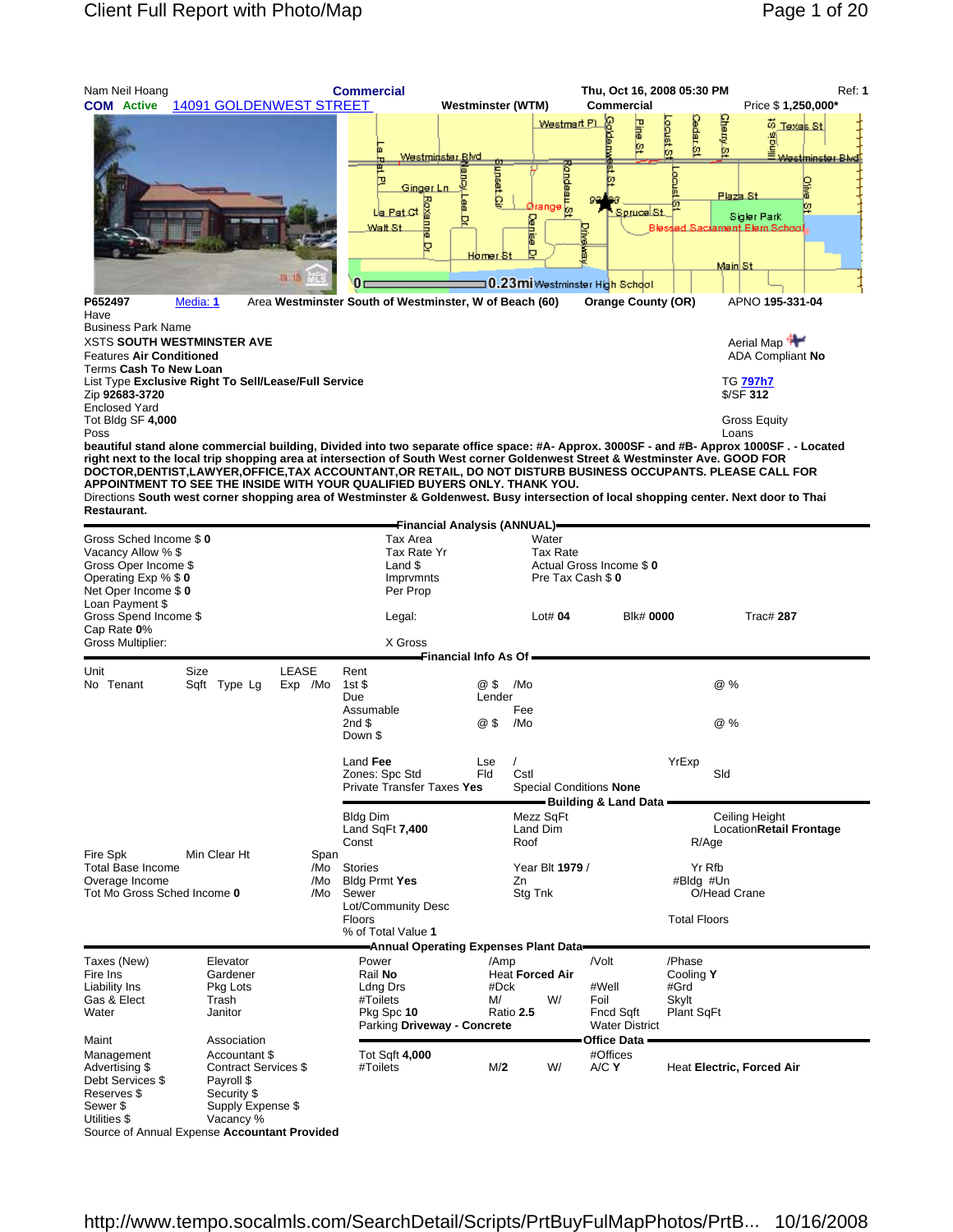| Nam Neil Hoang<br><b>COM Active</b>                                                                                                                                           | 14091 GOLDENWEST STREET                                                                   |                                                      | <b>Commercial</b>                                                                              | Westminster (WTM)                                                                                                                                                                                          | <b>Commercial</b>                                                                                    | Thu, Oct 16, 2008 05:30 PM                                          | Price \$1,250,000*                                                                                                                                                                                                                                                                                                                                                                                                                                                                                    | Ref: 1           |
|-------------------------------------------------------------------------------------------------------------------------------------------------------------------------------|-------------------------------------------------------------------------------------------|------------------------------------------------------|------------------------------------------------------------------------------------------------|------------------------------------------------------------------------------------------------------------------------------------------------------------------------------------------------------------|------------------------------------------------------------------------------------------------------|---------------------------------------------------------------------|-------------------------------------------------------------------------------------------------------------------------------------------------------------------------------------------------------------------------------------------------------------------------------------------------------------------------------------------------------------------------------------------------------------------------------------------------------------------------------------------------------|------------------|
|                                                                                                                                                                               |                                                                                           |                                                      | <u>Westminister B</u> Md<br>희<br>Ginger Ln.<br>La Pat Ct<br>Walt St<br>⊵                       | unset Cir<br>Dainisa<br>⊵<br><u>Homer</u>                                                                                                                                                                  | C<br>Westmart PL<br>personal<br>Drange pr<br>Drange pr<br>Divelas<br>⊒0.23mi Westminster High School | <b>Gedar St</b><br>ocust S<br><u>Pine</u><br>ø<br>Spruce St<br>Blas | ChangLS<br>to Texas St<br>llinais<br>Oire<br>Plaza St.<br>ю<br>Sigler Park<br>Sacrament Elem School<br><u>Main St</u>                                                                                                                                                                                                                                                                                                                                                                                 | Westminster Blvd |
| P652497                                                                                                                                                                       | Media: 1                                                                                  |                                                      |                                                                                                | Area Westminster South of Westminster, W of Beach (60)                                                                                                                                                     |                                                                                                      | <b>Orange County (OR)</b>                                           | APNO 195-331-04                                                                                                                                                                                                                                                                                                                                                                                                                                                                                       |                  |
| Have<br><b>Business Park Name</b><br><b>Features Air Conditioned</b><br>Terms Cash To New Loan<br>Zip 92683-3720<br>Enclosed Yard<br>Tot Bldg SF 4,000<br>Poss<br>Restaurant. | XSTS <b>SOUTH WESTMINSTER AVE</b><br>List Type Exclusive Right To Sell/Lease/Full Service |                                                      |                                                                                                | right next to the local trip shopping area at intersection of South West corner Goldenwest Street & Westminster Ave. GOOD FOR<br>APPOINTMENT TO SEE THE INSIDE WITH YOUR QUALIFIED BUYERS ONLY. THANK YOU. |                                                                                                      |                                                                     | Aerial Map<br>ADA Compliant No<br>TG <mark>797h7</mark><br>\$/SF 312<br>Gross Equity<br>Loans<br>beautiful stand alone commercial building, Divided into two separate office space: #A- Approx. 3000SF - and #B- Approx 1000SF . - Located<br>DOCTOR, DENTIST, LAWYER, OFFICE, TAX ACCOUNTANT, OR RETAIL, DO NOT DISTURB BUSINESS OCCUPANTS. PLEASE CALL FOR<br>Directions South west corner shopping area of Westminster & Goldenwest. Busy intersection of local shopping center. Next door to Thai |                  |
| Gross Sched Income \$ 0                                                                                                                                                       |                                                                                           |                                                      | Tax Area                                                                                       | <del>F</del> inancial Analysis (ANNUAL) <del>-</del><br>Water                                                                                                                                              |                                                                                                      |                                                                     |                                                                                                                                                                                                                                                                                                                                                                                                                                                                                                       |                  |
| Vacancy Allow % \$<br>Gross Oper Income \$<br>Operating Exp % \$ 0<br>Net Oper Income \$0                                                                                     |                                                                                           |                                                      | Tax Rate Yr<br>Land \$<br>Imprymnts<br>Per Prop                                                |                                                                                                                                                                                                            | <b>Tax Rate</b><br>Actual Gross Income \$0<br>Pre Tax Cash \$0                                       |                                                                     |                                                                                                                                                                                                                                                                                                                                                                                                                                                                                                       |                  |
| Loan Payment \$<br>Gross Spend Income \$<br>Cap Rate 0%<br>Gross Multiplier:                                                                                                  |                                                                                           |                                                      | Legal:<br>X Gross                                                                              |                                                                                                                                                                                                            | Lot# $04$                                                                                            | Blk# 0000                                                           | Trac# 287                                                                                                                                                                                                                                                                                                                                                                                                                                                                                             |                  |
|                                                                                                                                                                               |                                                                                           |                                                      |                                                                                                | <b>Financial Info As Of -</b>                                                                                                                                                                              |                                                                                                      |                                                                     |                                                                                                                                                                                                                                                                                                                                                                                                                                                                                                       |                  |
| Unit<br>No Tenant                                                                                                                                                             | Size<br>Sqft Type Lg                                                                      | LEASE<br>Rent<br>Exp /Mo<br>1st $$$<br>Due<br>2nd \$ | Assumable<br>Down \$                                                                           | @\$<br>/Mo<br>Lender<br>Fee<br>@ \$<br>/Mo                                                                                                                                                                 |                                                                                                      |                                                                     | @%<br>@%                                                                                                                                                                                                                                                                                                                                                                                                                                                                                              |                  |
|                                                                                                                                                                               |                                                                                           |                                                      | Land Fee<br>Zones: Spc Std<br>Private Transfer Taxes Yes                                       | Lse<br>Cstl<br>Fld                                                                                                                                                                                         | Special Conditions None<br>Building & Land Data =                                                    | YrExp                                                               | Sld                                                                                                                                                                                                                                                                                                                                                                                                                                                                                                   |                  |
|                                                                                                                                                                               |                                                                                           |                                                      | <b>Bldg Dim</b>                                                                                | Mezz SqFt                                                                                                                                                                                                  |                                                                                                      |                                                                     | Ceiling Height                                                                                                                                                                                                                                                                                                                                                                                                                                                                                        |                  |
|                                                                                                                                                                               |                                                                                           |                                                      | Land SqFt 7,400<br>Const                                                                       | Land Dim<br>Roof                                                                                                                                                                                           |                                                                                                      | R/Age                                                               | Location Retail Frontage                                                                                                                                                                                                                                                                                                                                                                                                                                                                              |                  |
| Fire Spk<br><b>Total Base Income</b><br>Overage Income<br>Tot Mo Gross Sched Income 0                                                                                         | Min Clear Ht                                                                              | Span<br>/Mo<br>/Mo<br>/Mo                            | Stories<br><b>Bldg Prmt Yes</b><br>Sewer<br>Lot/Community Desc<br>Floors<br>% of Total Value 1 | Zn<br>Stg Tnk                                                                                                                                                                                              | Year Blt 1979 /                                                                                      | Yr Rfb<br>#Bldg #Un<br><b>Total Floors</b>                          | O/Head Crane                                                                                                                                                                                                                                                                                                                                                                                                                                                                                          |                  |
|                                                                                                                                                                               |                                                                                           |                                                      |                                                                                                | Annual Operating Expenses Plant Data=                                                                                                                                                                      |                                                                                                      |                                                                     |                                                                                                                                                                                                                                                                                                                                                                                                                                                                                                       |                  |
| Taxes (New)<br>Fire Ins<br>Liability Ins<br>Gas & Elect                                                                                                                       | Elevator<br>Gardener<br>Pkg Lots<br>Trash                                                 |                                                      | Power<br>Rail No<br>Ldng Drs<br>#Toilets                                                       | /Amp<br><b>Heat Forced Air</b><br>#Dck<br>M/                                                                                                                                                               | /Volt<br>#Well<br>W/<br>Foil                                                                         | /Phase<br>Cooling Y<br>#Grd<br>Skylt                                |                                                                                                                                                                                                                                                                                                                                                                                                                                                                                                       |                  |

Water **1999 Janitor** Pkg Spc 10 Ratio 2.5 Fncd Sqft Plant SqFt<br>Parking Driveway - Concrete Water District Parking Driveway - Concrete Maint **Association Constant Association Constant Association Constant Association Office Data** Management Accountant \$ Tot Sqft **4,000** #Offices<br>
Advertising \$ Contract Services \$ #Toilets M/2 W/ A/C Y Contract Services \$ #Toilets M/2 W/ A/C **Y** Heat **Electric, Forced Air**<br>Payroll \$ Advertising \$ Contract S<br>
Debt Services \$ Payroll \$<br>
Reserves \$ Security \$ Reserves \$

Sewer \$ Supply Expense \$<br>Utilities \$ Vacancy % Vacancy %

Source of Annual Expense **Accountant Provided**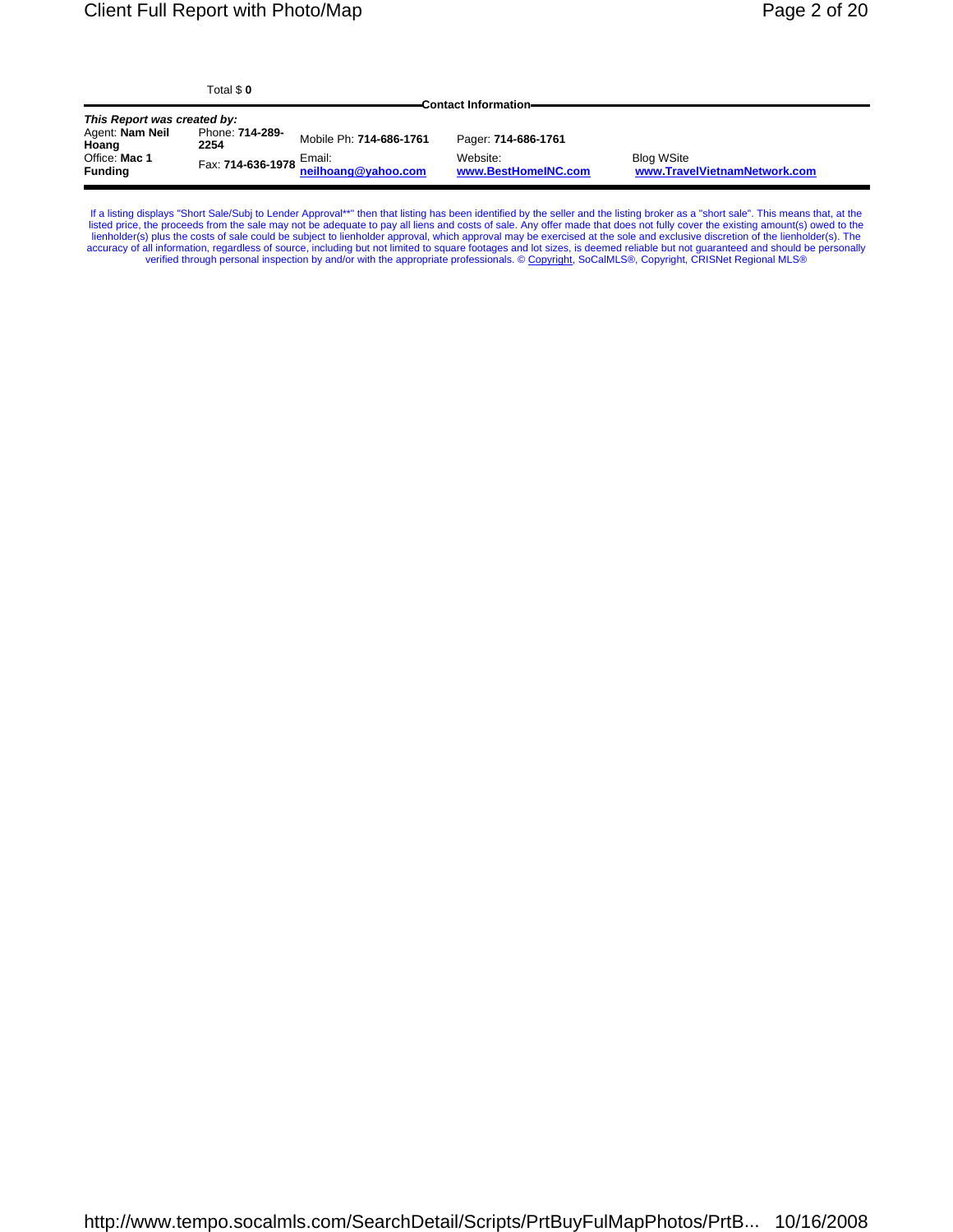| ntal | ı<br>0 |
|------|--------|
|      |        |

|                             | Total \$0               |                               | <b>Contact Information-</b>     |                                                   |
|-----------------------------|-------------------------|-------------------------------|---------------------------------|---------------------------------------------------|
| This Report was created by: |                         |                               |                                 |                                                   |
| Agent: Nam Neil<br>Hoang    | Phone: 714-289-<br>2254 | Mobile Ph: 714-686-1761       | Pager: 714-686-1761             |                                                   |
| Office: Mac 1<br>Fundina    | Fax: 714-636-1978       | Email:<br>neilhoang@yahoo.com | Website:<br>www.BestHomeINC.com | <b>Blog WSite</b><br>www.TravelVietnamNetwork.com |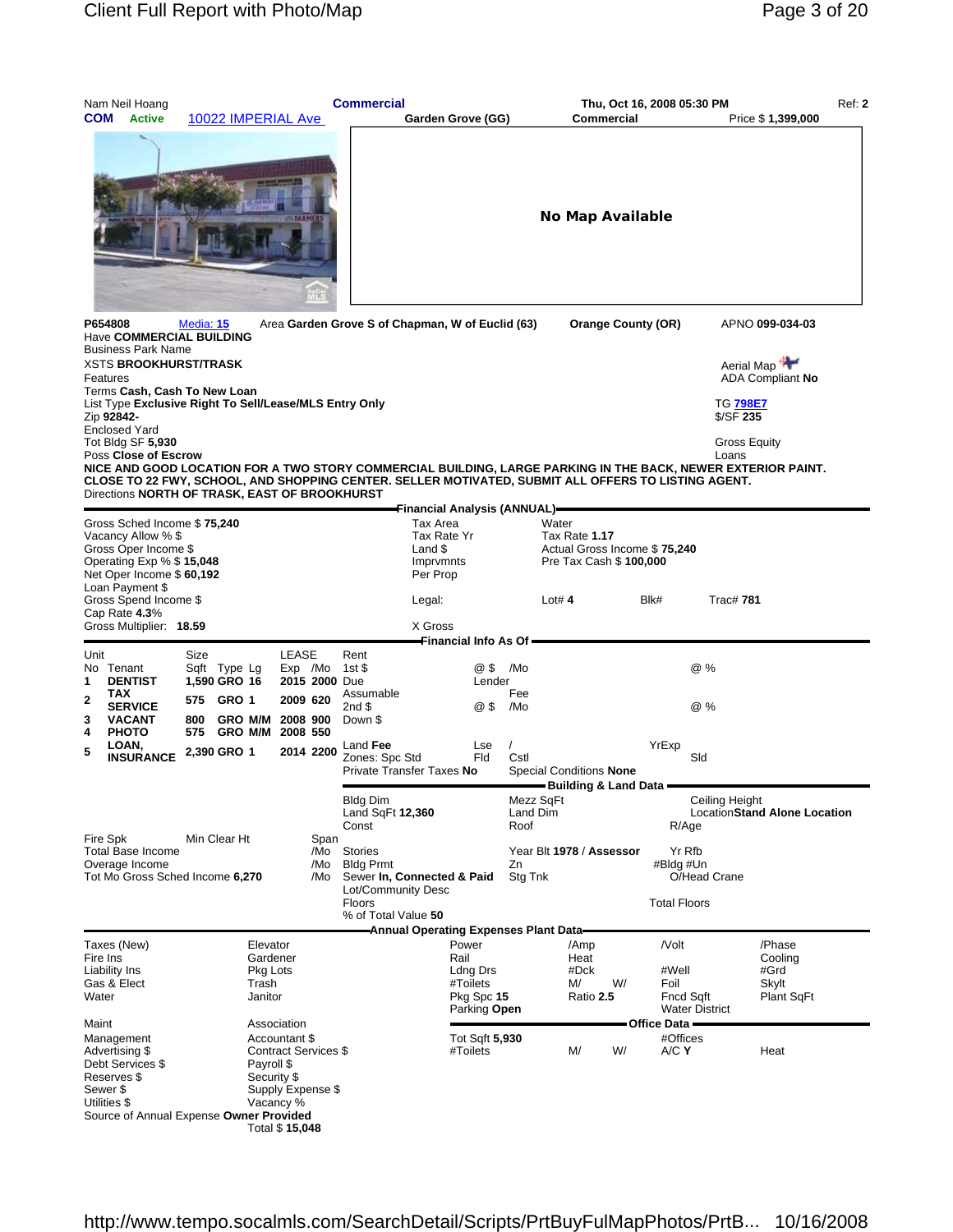| <b>COM</b>                                                                                                                                                                                                                                                                                                                                                            | Nam Neil Hoang<br><b>Active</b>                                                                                                                                                                                                                                           | 10022 IMPERIAL Ave                          |                                                      |                                                 |                                                  | <b>Commercial</b>                                           | Garden Grove (GG)                                                   |                               | <b>Commercial</b>                                                                 | Thu, Oct 16, 2008 05:30 PM                 |                                                       | Price \$1,399,000                                        | <b>Ref: 2</b> |
|-----------------------------------------------------------------------------------------------------------------------------------------------------------------------------------------------------------------------------------------------------------------------------------------------------------------------------------------------------------------------|---------------------------------------------------------------------------------------------------------------------------------------------------------------------------------------------------------------------------------------------------------------------------|---------------------------------------------|------------------------------------------------------|-------------------------------------------------|--------------------------------------------------|-------------------------------------------------------------|---------------------------------------------------------------------|-------------------------------|-----------------------------------------------------------------------------------|--------------------------------------------|-------------------------------------------------------|----------------------------------------------------------|---------------|
|                                                                                                                                                                                                                                                                                                                                                                       |                                                                                                                                                                                                                                                                           |                                             |                                                      | <b>FARMER</b>                                   |                                                  |                                                             |                                                                     |                               | No Map Available                                                                  |                                            |                                                       |                                                          |               |
| P654808<br>Features                                                                                                                                                                                                                                                                                                                                                   | <b>Have COMMERCIAL BUILDING</b><br><b>Business Park Name</b><br><b>XSTS BROOKHURST/TRASK</b><br>Terms Cash, Cash To New Loan<br>List Type Exclusive Right To Sell/Lease/MLS Entry Only<br>Zip 92842-<br><b>Enclosed Yard</b><br>Tot Bldg SF 5,930<br>Poss Close of Escrow | Media: 15                                   |                                                      |                                                 |                                                  | Area Garden Grove S of Chapman, W of Euclid (63)            |                                                                     |                               |                                                                                   | <b>Orange County (OR)</b>                  | <b>TG 798E7</b><br>\$/SF 235<br>Gross Equity<br>Loans | APNO 099-034-03<br>Aerial Map<br><b>ADA Compliant No</b> |               |
|                                                                                                                                                                                                                                                                                                                                                                       | NICE AND GOOD LOCATION FOR A TWO STORY COMMERCIAL BUILDING, LARGE PARKING IN THE BACK, NEWER EXTERIOR PAINT.<br>CLOSE TO 22 FWY, SCHOOL, AND SHOPPING CENTER. SELLER MOTIVATED, SUBMIT ALL OFFERS TO LISTING AGENT.<br>Directions NORTH OF TRASK, EAST OF BROOKHURST      |                                             |                                                      |                                                 |                                                  |                                                             |                                                                     |                               |                                                                                   |                                            |                                                       |                                                          |               |
|                                                                                                                                                                                                                                                                                                                                                                       |                                                                                                                                                                                                                                                                           |                                             |                                                      |                                                 |                                                  |                                                             | Financial Analysis (ANNUAL)=                                        |                               |                                                                                   |                                            |                                                       |                                                          |               |
| Gross Sched Income \$75,240<br>Vacancy Allow % \$<br>Gross Oper Income \$<br>Operating Exp % \$15,048<br>Net Oper Income \$60,192                                                                                                                                                                                                                                     |                                                                                                                                                                                                                                                                           |                                             |                                                      |                                                 |                                                  | Tax Area<br>Tax Rate Yr<br>Land \$<br>Imprymnts<br>Per Prop |                                                                     |                               | Water<br>Tax Rate 1.17<br>Actual Gross Income \$75,240<br>Pre Tax Cash \$ 100,000 |                                            |                                                       |                                                          |               |
|                                                                                                                                                                                                                                                                                                                                                                       | Loan Payment \$<br>Gross Spend Income \$<br>Cap Rate 4.3%                                                                                                                                                                                                                 |                                             |                                                      |                                                 |                                                  | Legal:                                                      |                                                                     |                               | Lot# $4$                                                                          | Blk#                                       | <b>Trac#781</b>                                       |                                                          |               |
|                                                                                                                                                                                                                                                                                                                                                                       | Gross Multiplier: 18.59                                                                                                                                                                                                                                                   |                                             |                                                      |                                                 |                                                  | X Gross                                                     |                                                                     |                               |                                                                                   |                                            |                                                       |                                                          |               |
|                                                                                                                                                                                                                                                                                                                                                                       |                                                                                                                                                                                                                                                                           |                                             |                                                      |                                                 |                                                  |                                                             | Financial Info As Of =                                              |                               |                                                                                   |                                            |                                                       |                                                          |               |
| Unit<br>1<br>$\mathbf 2$                                                                                                                                                                                                                                                                                                                                              | No Tenant<br><b>DENTIST</b><br>TAX<br><b>SERVICE</b>                                                                                                                                                                                                                      | Size<br>Sqft Type Lg<br>1,590 GRO 16<br>575 | GRO 1                                                | LEASE<br>Exp /Mo<br>2009 620                    | 2015 2000 Due                                    | Rent<br>1st $$$<br>Assumable<br>$2nd$ \$                    | @ \$<br>Lender<br>@\$                                               | /Mo<br>Fee<br>/Mo             |                                                                                   |                                            | @%<br>@%                                              |                                                          |               |
| 3<br>4<br>5                                                                                                                                                                                                                                                                                                                                                           | <b>VACANT</b><br><b>PHOTO</b><br>LOAN,<br><b>INSURANCE</b>                                                                                                                                                                                                                | 800<br>575<br>2,390 GRO 1                   | GRO M/M<br>GRO M/M                                   | 2008 900<br>2008 550                            | 2014 2200                                        | Down \$<br>Land Fee<br>Zones: Spc Std                       | Lse<br>Fld                                                          | Cstl                          |                                                                                   | YrExp                                      | Sld                                                   |                                                          |               |
|                                                                                                                                                                                                                                                                                                                                                                       |                                                                                                                                                                                                                                                                           |                                             |                                                      |                                                 |                                                  | Private Transfer Taxes No                                   |                                                                     |                               | Special Conditions None                                                           |                                            |                                                       |                                                          |               |
|                                                                                                                                                                                                                                                                                                                                                                       |                                                                                                                                                                                                                                                                           |                                             |                                                      |                                                 |                                                  | <b>Bldg Dim</b><br>Land SqFt 12,360<br>Const                |                                                                     | Mezz SqFt<br>Land Dim<br>Roof | - Building & Land Data -                                                          | R/Age                                      | Ceiling Height                                        | <b>LocationStand Alone Location</b>                      |               |
| Fire Spk<br>Min Clear Ht<br>Span<br><b>Total Base Income</b><br>Stories<br>Yr Rfb<br>/Mo<br>Year Blt 1978 / Assessor<br>Overage Income<br><b>Bldg Prmt</b><br>#Bldg #Un<br>/Mo<br>Zn<br>Tot Mo Gross Sched Income 6,270<br>Sewer In, Connected & Paid<br>/Mo<br>Stg Tnk<br>O/Head Crane<br>Lot/Community Desc<br>Floors<br><b>Total Floors</b><br>% of Total Value 50 |                                                                                                                                                                                                                                                                           |                                             |                                                      |                                                 |                                                  |                                                             |                                                                     |                               |                                                                                   |                                            |                                                       |                                                          |               |
|                                                                                                                                                                                                                                                                                                                                                                       |                                                                                                                                                                                                                                                                           |                                             |                                                      |                                                 |                                                  | Annual Operating Expenses Plant Data-                       |                                                                     |                               |                                                                                   |                                            |                                                       |                                                          |               |
| Fire Ins<br>Water                                                                                                                                                                                                                                                                                                                                                     | Taxes (New)<br>Liability Ins<br>Gas & Elect                                                                                                                                                                                                                               |                                             | Elevator<br>Gardener<br>Pkg Lots<br>Trash<br>Janitor |                                                 |                                                  |                                                             | Power<br>Rail<br>Ldng Drs<br>#Toilets<br>Pkg Spc 15<br>Parking Open |                               | /Amp<br>Heat<br>#Dck<br>M/<br>W/<br>Ratio 2.5                                     | /Volt<br>#Well<br>Foil<br><b>Fncd Sqft</b> | <b>Water District</b>                                 | /Phase<br>Cooling<br>#Grd<br>Skylt<br>Plant SqFt         |               |
| Maint<br>Sewer \$<br>Utilities \$                                                                                                                                                                                                                                                                                                                                     | Management<br>Advertising \$<br>Debt Services \$<br>Reserves \$<br>Source of Annual Expense Owner Provided                                                                                                                                                                |                                             | Payroll \$<br>Security \$<br>Vacancy %               | Association<br>Accountant \$<br>Total \$ 15,048 | <b>Contract Services \$</b><br>Supply Expense \$ |                                                             | Tot Sqft 5,930<br>#Toilets                                          |                               | M/<br>W/                                                                          | Office Data -<br>#Offices<br>A/C Y         |                                                       | Heat                                                     |               |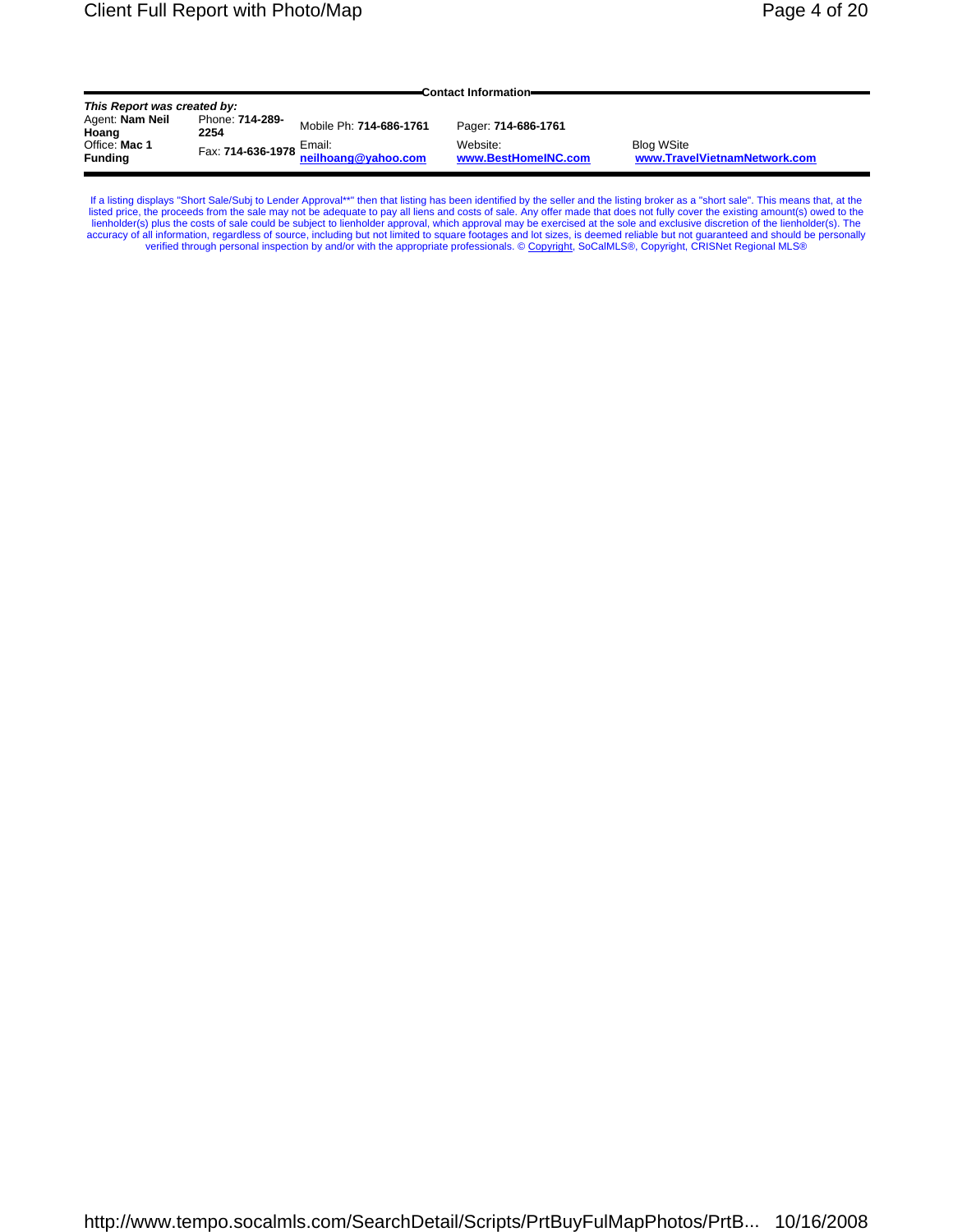| <b>Contact Information-</b>     |                         |                                                                      |                                 |                                                   |  |  |  |  |  |  |
|---------------------------------|-------------------------|----------------------------------------------------------------------|---------------------------------|---------------------------------------------------|--|--|--|--|--|--|
| This Report was created by:     |                         |                                                                      |                                 |                                                   |  |  |  |  |  |  |
| Agent: Nam Neil<br>Hoang        | Phone: 714-289-<br>2254 | Mobile Ph: 714-686-1761                                              | Pager: 714-686-1761             |                                                   |  |  |  |  |  |  |
| Office: Mac 1<br><b>Funding</b> |                         | Fax: <b>714-636-1978</b> Eliten.<br><mark>neilhoang@yahoo.com</mark> | Website:<br>www.BestHomeINC.com | <b>Blog WSite</b><br>www.TravelVietnamNetwork.com |  |  |  |  |  |  |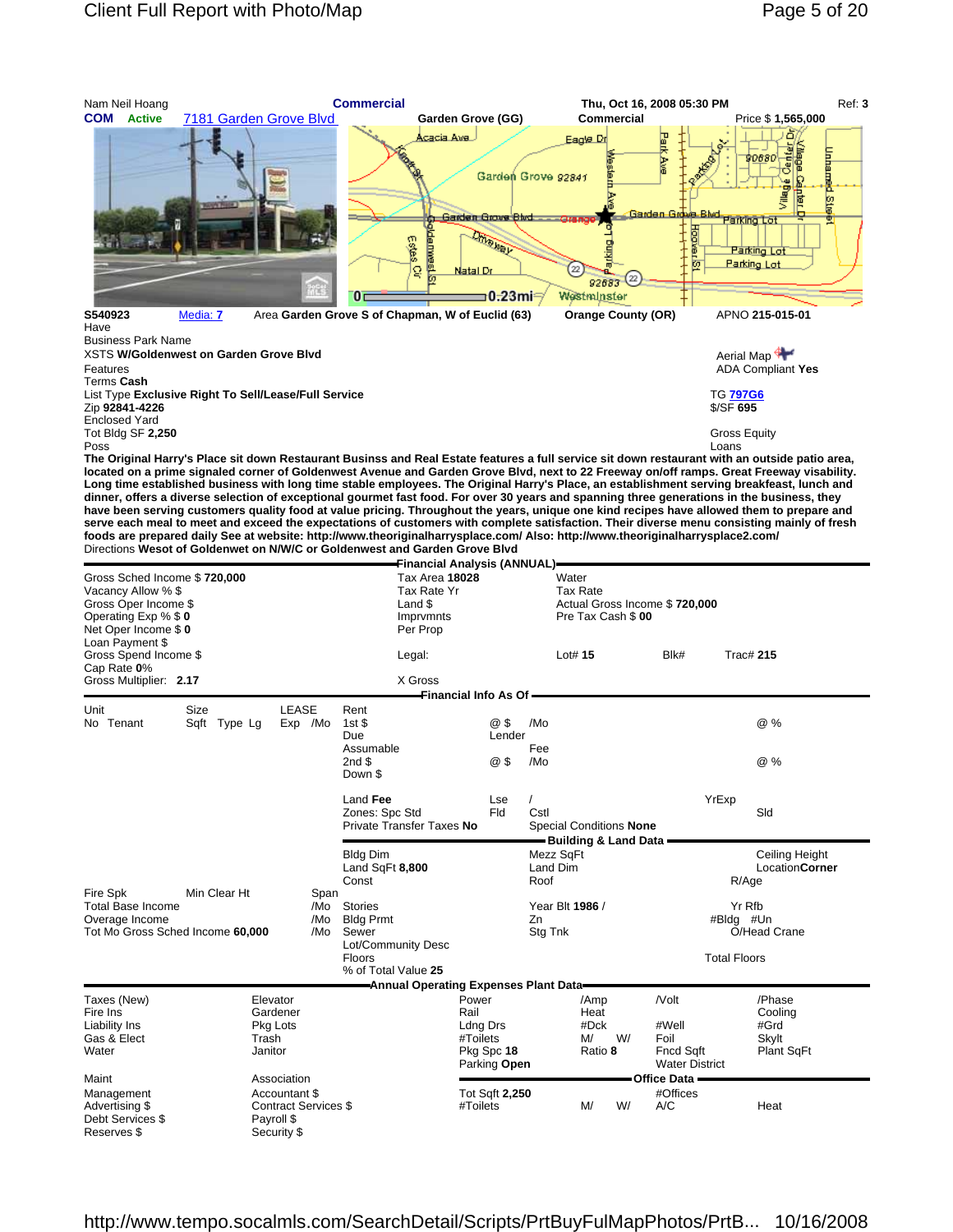

**The Original Harry's Place sit down Restaurant Businss and Real Estate features a full service sit down restaurant with an outside patio area, located on a prime signaled corner of Goldenwest Avenue and Garden Grove Blvd, next to 22 Freeway on/off ramps. Great Freeway visability. Long time established business with long time stable employees. The Original Harry's Place, an establishment serving breakfeast, lunch and dinner, offers a diverse selection of exceptional gourmet fast food. For over 30 years and spanning three generations in the business, they have been serving customers quality food at value pricing. Throughout the years, unique one kind recipes have allowed them to prepare and serve each meal to meet and exceed the expectations of customers with complete satisfaction. Their diverse menu consisting mainly of fresh foods are prepared daily See at website: http://www.theoriginalharrysplace.com/ Also: http://www.theoriginalharrysplace2.com/** Directions **Wesot of Goldenwet on N/W/C or Goldenwest and Garden Grove Blvd**

|                                                                                                                                                                                                               |             |              |                                                                     |                                                   | Financial Analysis (ANNUAL)-                                                       |                                       |                                                                                 |                               |                                                   |                  |                                                                               |                                                            |  |
|---------------------------------------------------------------------------------------------------------------------------------------------------------------------------------------------------------------|-------------|--------------|---------------------------------------------------------------------|---------------------------------------------------|------------------------------------------------------------------------------------|---------------------------------------|---------------------------------------------------------------------------------|-------------------------------|---------------------------------------------------|------------------|-------------------------------------------------------------------------------|------------------------------------------------------------|--|
| Gross Sched Income \$720,000<br>Vacancy Allow % \$<br>Gross Oper Income \$<br>Operating Exp % \$0<br>Net Oper Income \$0<br>Loan Payment \$<br>Gross Spend Income \$<br>Cap Rate 0%<br>Gross Multiplier: 2.17 |             |              | Land \$<br>Per Prop                                                 | <b>Tax Area 18028</b><br>Tax Rate Yr<br>Imprvmnts |                                                                                    |                                       | Water<br><b>Tax Rate</b><br>Actual Gross Income \$720,000<br>Pre Tax Cash \$ 00 |                               |                                                   |                  |                                                                               |                                                            |  |
|                                                                                                                                                                                                               |             |              | Legal:<br>X Gross                                                   |                                                   |                                                                                    |                                       | Lot# $15$                                                                       |                               | Blk#                                              | <b>Trac# 215</b> |                                                                               |                                                            |  |
|                                                                                                                                                                                                               |             |              |                                                                     |                                                   |                                                                                    |                                       | Financial Info As Of -                                                          |                               |                                                   |                  |                                                                               |                                                            |  |
| Unit<br>No Tenant                                                                                                                                                                                             | <b>Size</b> | Sqft Type Lg | LEASE                                                               | Exp /Mo                                           | Rent<br>$1st$ \$<br>Due<br>Assumable                                               |                                       | @\$<br>Lender                                                                   | /Mo<br>Fee                    |                                                   |                  |                                                                               | @%                                                         |  |
|                                                                                                                                                                                                               |             |              |                                                                     |                                                   | 2nd \$<br>Down \$                                                                  |                                       | @\$                                                                             | /Mo                           |                                                   |                  |                                                                               | @%                                                         |  |
|                                                                                                                                                                                                               |             |              |                                                                     |                                                   | Land Fee<br>Zones: Spc Std<br>Private Transfer Taxes No                            |                                       | Lse<br>Fld                                                                      | Cstl                          | Special Conditions None<br>Building & Land Data = |                  | YrExp                                                                         | Sld                                                        |  |
|                                                                                                                                                                                                               |             |              |                                                                     |                                                   | <b>Bldg Dim</b><br>Land SqFt 8,800<br>Const                                        |                                       |                                                                                 | Mezz SqFt<br>Land Dim<br>Roof |                                                   |                  |                                                                               | <b>Ceiling Height</b><br><b>LocationCorner</b><br>R/Age    |  |
| Fire Spk<br><b>Total Base Income</b><br>Overage Income<br>Tot Mo Gross Sched Income 60,000                                                                                                                    |             | Min Clear Ht |                                                                     | Span<br>/Mo<br>/Mo<br>/Mo                         | <b>Stories</b><br><b>Bldg Prmt</b><br>Sewer<br>Lot/Community Desc<br><b>Floors</b> |                                       |                                                                                 | Zn<br>Stg Tnk                 | Year Blt 1986 /                                   |                  |                                                                               | Yr Rfb<br>#Bldg #Un<br>O/Head Crane<br><b>Total Floors</b> |  |
|                                                                                                                                                                                                               |             |              |                                                                     |                                                   | % of Total Value 25                                                                |                                       |                                                                                 |                               |                                                   |                  |                                                                               |                                                            |  |
|                                                                                                                                                                                                               |             |              |                                                                     |                                                   | Annual Operating Expenses Plant Data=                                              |                                       |                                                                                 |                               |                                                   |                  |                                                                               |                                                            |  |
| Taxes (New)<br>Fire Ins<br><b>Liability Ins</b><br>Gas & Elect<br>Water<br>Maint                                                                                                                              |             |              | Elevator<br>Gardener<br>Pkg Lots<br>Trash<br>Janitor<br>Association |                                                   |                                                                                    | Power<br>Rail<br>Ldng Drs<br>#Toilets | Pkg Spc 18<br>Parking Open                                                      |                               | /Amp<br>Heat<br>#Dck<br>M/<br>Ratio 8             | W/               | /Volt<br>#Well<br>Foil<br>Fncd Sqft<br><b>Water District</b><br>Office Data = | /Phase<br>Cooling<br>#Grd<br>Skylt<br>Plant SqFt           |  |
| Management<br>Advertising \$<br>Debt Services \$<br>Reserves \$                                                                                                                                               |             |              | Accountant \$<br>Contract Services \$<br>Payroll \$<br>Security \$  |                                                   |                                                                                    | #Toilets                              | <b>Tot Sqft 2,250</b>                                                           |                               | M/                                                | W/               | #Offices<br>A/C                                                               | Heat                                                       |  |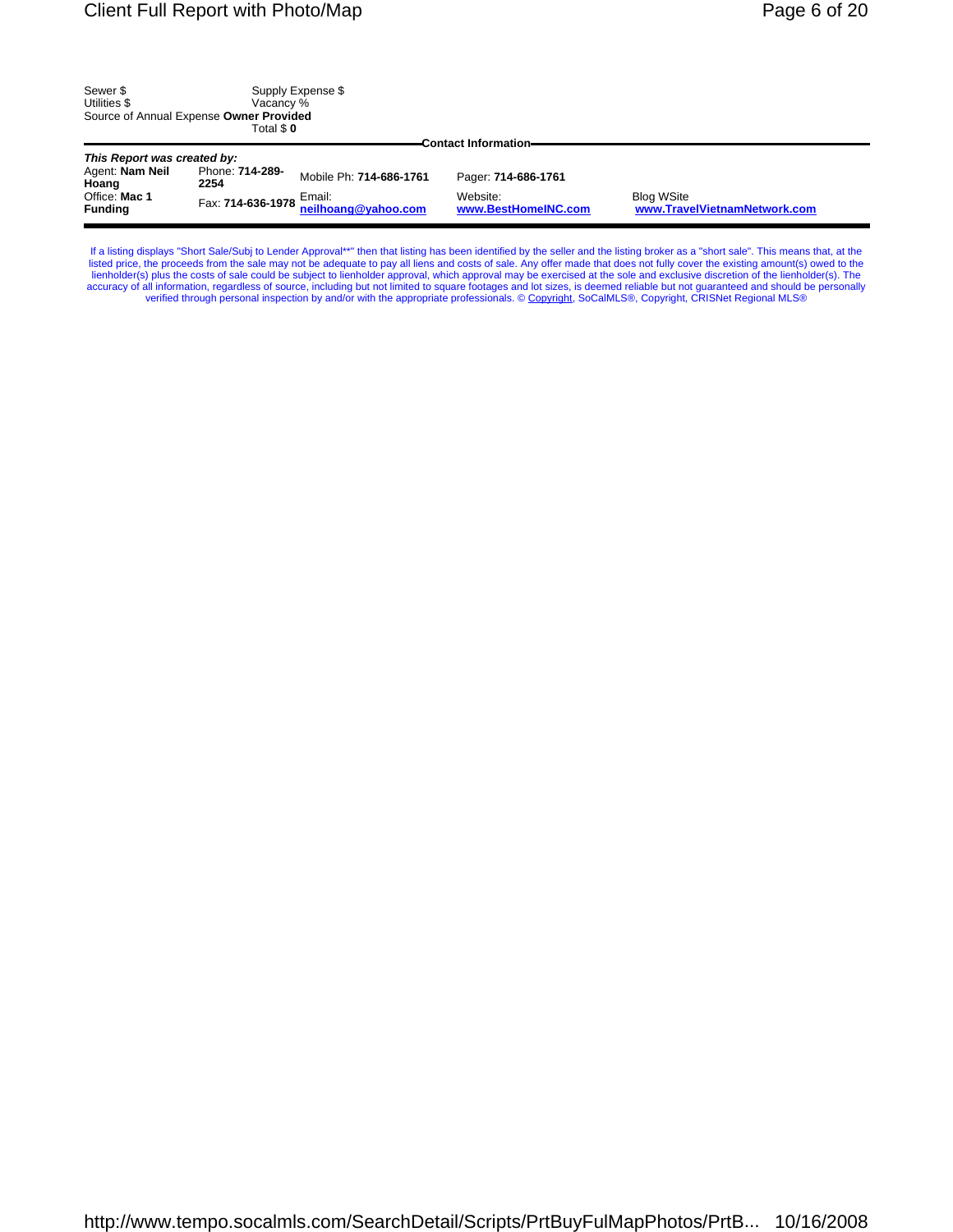| Sewer \$                                | Supply Expense \$ |
|-----------------------------------------|-------------------|
| Utilities \$                            | Vacancy %         |
| Source of Annual Expense Owner Provided |                   |
|                                         | Total \$0         |

|                                 | טישוטיו                 |                                                                             |                                 |                                                   |  |  |  |  |  |  |
|---------------------------------|-------------------------|-----------------------------------------------------------------------------|---------------------------------|---------------------------------------------------|--|--|--|--|--|--|
| <b>Contact Information-</b>     |                         |                                                                             |                                 |                                                   |  |  |  |  |  |  |
| This Report was created by:     |                         |                                                                             |                                 |                                                   |  |  |  |  |  |  |
| Agent: Nam Neil<br>Hoang        | Phone: 714-289-<br>2254 | Mobile Ph: 714-686-1761                                                     | Pager: 714-686-1761             |                                                   |  |  |  |  |  |  |
| Office: Mac 1<br><b>Funding</b> |                         | Fax: <b>714-636-1978</b> Ellian.<br><mark><u>neilhoang@yahoo.com</u></mark> | Website:<br>www.BestHomeINC.com | <b>Blog WSite</b><br>www.TravelVietnamNetwork.com |  |  |  |  |  |  |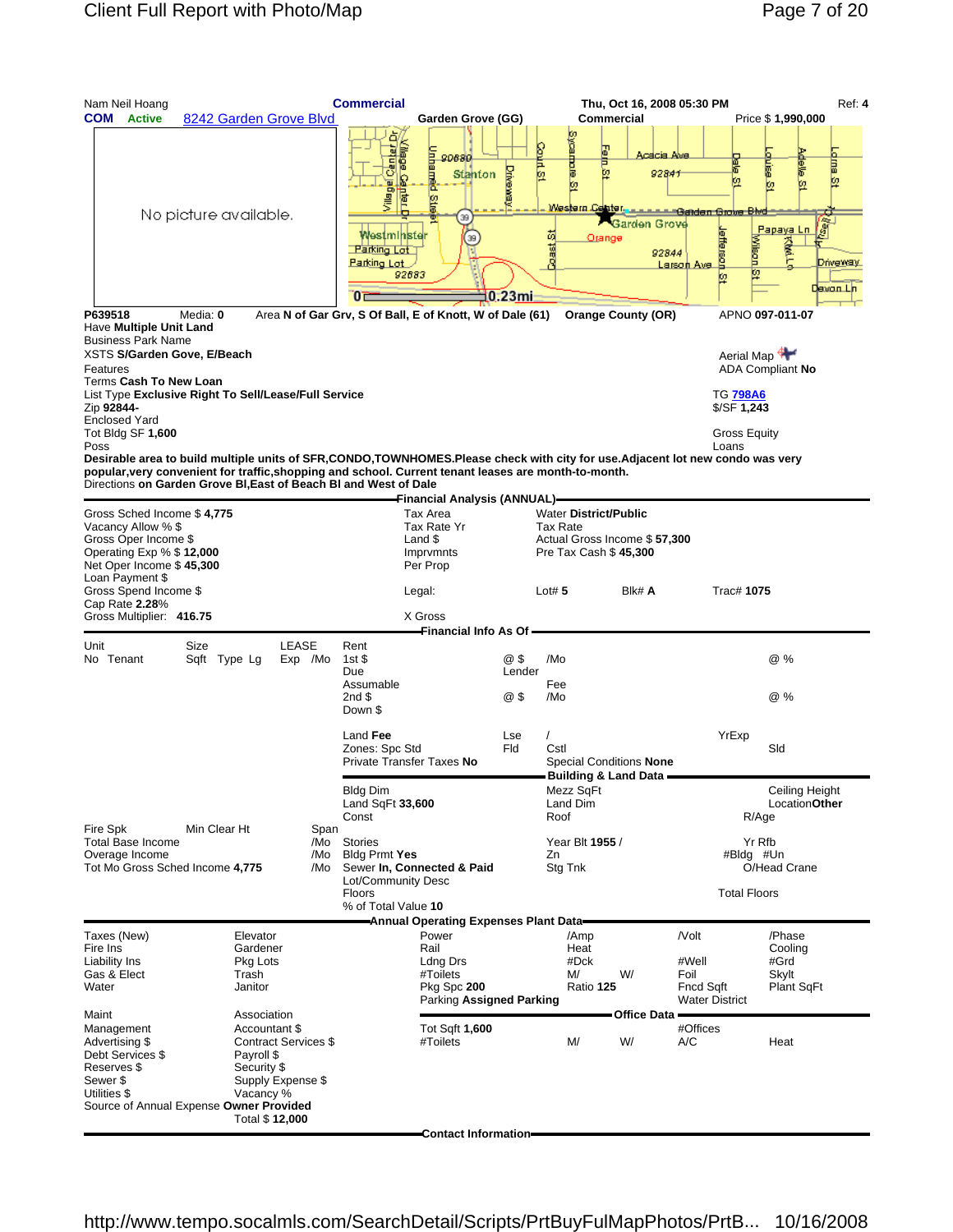| Nam Neil Hoang<br><b>COM</b> Active<br>P639518                                                                                                                                                                                                                                                                                                                                                                                                                                                                                                                          | Media: 0             | 8242 Garden Grove Blvd<br>No picture available.                                                                                |                           | <b>Commercial</b><br>à<br>N<br><b>Signal Carlier</b><br>Westminster<br>Parking Lot<br>Parking Lot<br>92683<br>'ΟΤ | Garden Grove (GG)<br>biemand<br>90680<br>Stanton<br>Ê<br>39<br>39<br>Area N of Gar Grv, S Of Ball, E of Knott, W of Dale (61) | Driveway<br>$\pm 0.23$ mi | <b>Succhade</b><br><b>SaldS</b><br>匢<br>葫<br>Doast                                   | Thu, Oct 16, 2008 05:30 PM<br><b>Commercial</b><br>Eatn<br>Acacia Ave<br>þσ<br>92841<br>Garden Grove<br>Orange<br>92844<br><b>Orange County (OR)</b> | B,BL<br>ťσ<br>Western Center, American Garden Grove Blvd<br>lefferso<br>wikan<br><u>Larson Ave</u><br>ю<br>12 | Ref: 4<br>Price \$1,990,000<br>10<br>10<br>B<br>ÚΠ<br>Papaya Ln<br>줄<br><u>Driveway</u><br>Devon Lin<br>APNO 097-011-07 |
|-------------------------------------------------------------------------------------------------------------------------------------------------------------------------------------------------------------------------------------------------------------------------------------------------------------------------------------------------------------------------------------------------------------------------------------------------------------------------------------------------------------------------------------------------------------------------|----------------------|--------------------------------------------------------------------------------------------------------------------------------|---------------------------|-------------------------------------------------------------------------------------------------------------------|-------------------------------------------------------------------------------------------------------------------------------|---------------------------|--------------------------------------------------------------------------------------|------------------------------------------------------------------------------------------------------------------------------------------------------|---------------------------------------------------------------------------------------------------------------|-------------------------------------------------------------------------------------------------------------------------|
| Have Multiple Unit Land<br><b>Business Park Name</b><br>XSTS S/Garden Gove, E/Beach<br>Features<br>Terms <b>Cash To New Loan</b><br>List Type Exclusive Right To Sell/Lease/Full Service<br>Zip 92844-<br><b>Enclosed Yard</b><br>Tot Bldg SF 1,600<br>Poss<br>Desirable area to build multiple units of SFR,CONDO,TOWNHOMES.Please check with city for use.Adjacent lot new condo was very<br>popular, very convenient for traffic, shopping and school. Current tenant leases are month-to-month.<br>Directions on Garden Grove BI, East of Beach BI and West of Dale |                      |                                                                                                                                |                           |                                                                                                                   | Financial Analysis (ANNUAL)—                                                                                                  |                           |                                                                                      |                                                                                                                                                      | Aerial Map<br><b>TG 798A6</b><br>$$/SF$ 1,243<br><b>Gross Equity</b><br>Loans                                 | ADA Compliant No                                                                                                        |
| Gross Sched Income \$4,775<br>Vacancy Allow % \$<br>Gross Oper Income \$<br>Operating Exp % \$ 12,000<br>Net Oper Income \$45,300<br>Loan Payment \$<br>Gross Spend Income \$<br>Cap Rate 2.28%<br>Gross Multiplier: 416.75                                                                                                                                                                                                                                                                                                                                             |                      |                                                                                                                                |                           |                                                                                                                   | Tax Area<br>Tax Rate Yr<br>Land \$<br>Imprymnts<br>Per Prop<br>Legal:<br>X Gross                                              |                           | <b>Water District/Public</b><br><b>Tax Rate</b><br>Pre Tax Cash \$45,300<br>Lot# $5$ | Actual Gross Income \$57,300<br>Blk# A                                                                                                               | Trac# 1075                                                                                                    |                                                                                                                         |
| Unit<br>No Tenant                                                                                                                                                                                                                                                                                                                                                                                                                                                                                                                                                       | Size<br>Sqft Type Lg | LEASE                                                                                                                          | Exp /Mo                   | Rent<br>1st $$$<br>Due<br>Assumable<br>2nd \$<br>Down \$                                                          | - Financial Info As Of <del>-</del>                                                                                           | @\$<br>Lender<br>@ \$     | /Mo<br>Fee<br>/Mo                                                                    |                                                                                                                                                      |                                                                                                               | @ %<br>@ %                                                                                                              |
|                                                                                                                                                                                                                                                                                                                                                                                                                                                                                                                                                                         |                      |                                                                                                                                |                           | Land Fee<br>Zones: Spc Std<br>Private Transfer Taxes No<br><b>Bldg Dim</b><br>Land SqFt 33,600                    |                                                                                                                               | Lse<br>Fld                | $\sqrt{2}$<br>Cstl<br>Mezz SqFt<br>Land Dim                                          | Special Conditions None<br><b>Building &amp; Land Data</b>                                                                                           | YrExp                                                                                                         | Sld<br>Ceiling Height<br>Location Other                                                                                 |
| Fire Spk<br>Total Base Income<br>Overage Income<br>Tot Mo Gross Sched Income 4,775                                                                                                                                                                                                                                                                                                                                                                                                                                                                                      | Min Clear Ht         |                                                                                                                                | Span<br>/Mo<br>/Mo<br>/Mo | Const<br><b>Stories</b><br><b>Bldg Prmt Yes</b><br>Lot/Community Desc<br><b>Floors</b><br>% of Total Value 10     | Sewer In, Connected & Paid<br>Annual Operating Expenses Plant Data-                                                           |                           | Roof<br>Year Blt 1955 /<br>Zn<br>Stg Tnk                                             |                                                                                                                                                      | #Bldg #Un<br><b>Total Floors</b>                                                                              | R/Age<br>Yr Rfb<br>O/Head Crane                                                                                         |
| Taxes (New)<br>Fire Ins<br>Liability Ins<br>Gas & Elect<br>Water<br>Maint                                                                                                                                                                                                                                                                                                                                                                                                                                                                                               |                      | Elevator<br>Gardener<br>Pkg Lots<br>Trash<br>Janitor<br>Association                                                            |                           |                                                                                                                   | Power<br>Rail<br>Ldng Drs<br>#Toilets<br>Pkg Spc 200<br>Parking Assigned Parking                                              |                           | /Amp<br>Heat<br>#Dck<br>M/<br>Ratio 125                                              | W/<br><b>Office Data</b>                                                                                                                             | /Volt<br>#Well<br>Foil<br><b>Fncd Sqft</b><br><b>Water District</b>                                           | /Phase<br>Cooling<br>#Grd<br>Skylt<br>Plant SqFt                                                                        |
| Management<br>Advertising \$<br>Debt Services \$<br>Reserves \$<br>Sewer \$<br>Utilities \$<br>Source of Annual Expense Owner Provided                                                                                                                                                                                                                                                                                                                                                                                                                                  |                      | Accountant \$<br><b>Contract Services \$</b><br>Payroll \$<br>Security \$<br>Supply Expense \$<br>Vacancy %<br>Total \$ 12,000 |                           |                                                                                                                   | Tot Sqft 1,600<br>#Toilets<br>Contact Information-                                                                            |                           | M/                                                                                   | W/                                                                                                                                                   | #Offices<br>A/C                                                                                               | Heat                                                                                                                    |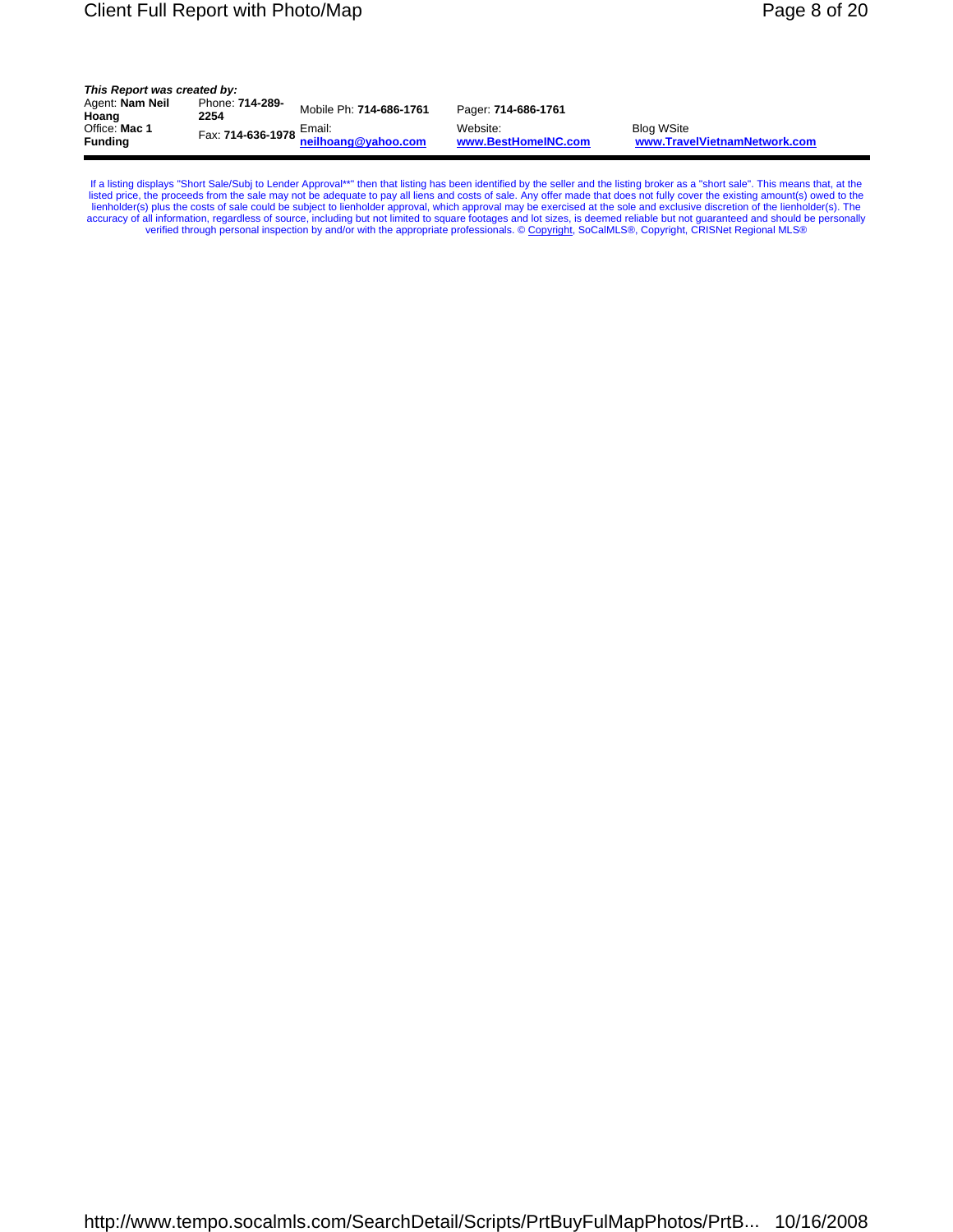## Client Full Report with Photo/Map **Page 8 of 20**

*This Report was created by:*

| Agent: Nam Neil<br>Hoang        | Phone: 714-289-<br>2254 | Mobile Ph: 714-686-1761 | Pager: 714-686-1761             |                                                   |
|---------------------------------|-------------------------|-------------------------|---------------------------------|---------------------------------------------------|
| Office: Mac 1<br><b>Funding</b> |                         |                         | Website:<br>www.BestHomeINC.com | <b>Blog WSite</b><br>www.TravelVietnamNetwork.com |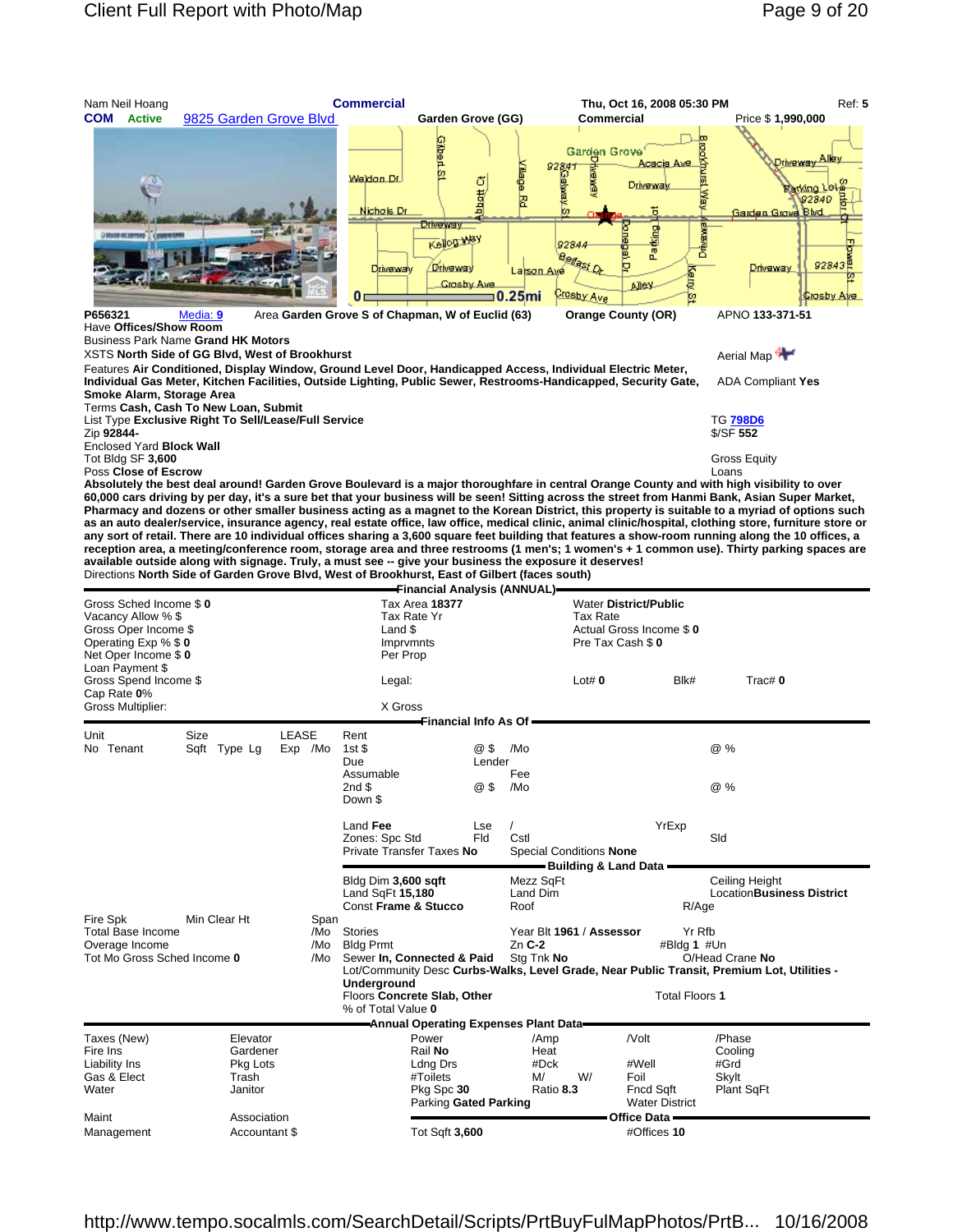

| Gross Spend Income \$<br>Cap Rate 0%                                                                  |                                                      |                           | Legal:                                                                                                                                                                        |                        | Lot# $0$                                                           | Blk#                                                                        | Trac# $0$                                          |  |
|-------------------------------------------------------------------------------------------------------|------------------------------------------------------|---------------------------|-------------------------------------------------------------------------------------------------------------------------------------------------------------------------------|------------------------|--------------------------------------------------------------------|-----------------------------------------------------------------------------|----------------------------------------------------|--|
| Gross Multiplier:                                                                                     |                                                      |                           | X Gross                                                                                                                                                                       | Financial Info As Of - |                                                                    |                                                                             |                                                    |  |
| Unit<br>No Tenant                                                                                     | Size<br>Sqft Type Lg                                 | LEASE<br>Exp /Mo          | Rent<br>1st <sup>5</sup><br>Due<br>Assumable<br>2ndS<br>Down \$                                                                                                               | @\$<br>Lender<br>@\$   | /Mo<br>Fee<br>/Mo                                                  |                                                                             | @%<br>@%                                           |  |
|                                                                                                       |                                                      |                           | Land Fee<br>Zones: Spc Std<br>Private Transfer Taxes No                                                                                                                       | Lse<br>Fld             | Cstl<br>Special Conditions None<br><b>Building &amp; Land Data</b> | YrExp                                                                       | Sld                                                |  |
|                                                                                                       |                                                      |                           | Bldg Dim 3,600 sgft<br>Land SqFt 15,180<br><b>Const Frame &amp; Stucco</b>                                                                                                    |                        | Mezz SqFt<br>Land Dim<br>Roof                                      | R/Age                                                                       | Ceiling Height<br><b>LocationBusiness District</b> |  |
| Min Clear Ht<br>Fire Spk<br><b>Total Base Income</b><br>Overage Income<br>Tot Mo Gross Sched Income 0 |                                                      | Span<br>/Mo<br>/Mo<br>/Mo | <b>Stories</b><br>Bldg Prmt<br>Sewer In, Connected & Paid<br>Lot/Community Desc Curbs-Walks, Level Grade, Near Public Transit, Premium Lot, Utilities -<br><b>Underground</b> |                        | Year Blt 1961 / Assessor<br>$Zn$ C-2<br>Stg Tnk No                 | Yr Rfb<br>#Bldg 1 #Un                                                       | O/Head Crane No                                    |  |
|                                                                                                       |                                                      |                           | Floors Concrete Slab, Other<br>% of Total Value 0                                                                                                                             |                        |                                                                    | <b>Total Floors 1</b>                                                       |                                                    |  |
| Taxes (New)<br>Fire Ins<br>Liability Ins<br>Gas & Elect<br>Water<br>Maint                             | Elevator<br>Gardener<br>Pkg Lots<br>Trash<br>Janitor | Association               | Annual Operating Expenses Plant Data-<br>Power<br>Rail No<br>Ldng Drs<br>#Toilets<br>Pkg Spc 30<br>Parking Gated Parking                                                      |                        | /Amp<br>Heat<br>#Dck<br>M/<br>W/<br>Ratio 8.3                      | /Volt<br>#Well<br>Foil<br>Fncd Sqft<br><b>Water District</b><br>Office Data | /Phase<br>Cooling<br>#Grd<br>Skylt<br>Plant SqFt   |  |
| Management                                                                                            |                                                      | Accountant \$             | <b>Tot Sqft 3,600</b>                                                                                                                                                         |                        |                                                                    | #Offices 10                                                                 |                                                    |  |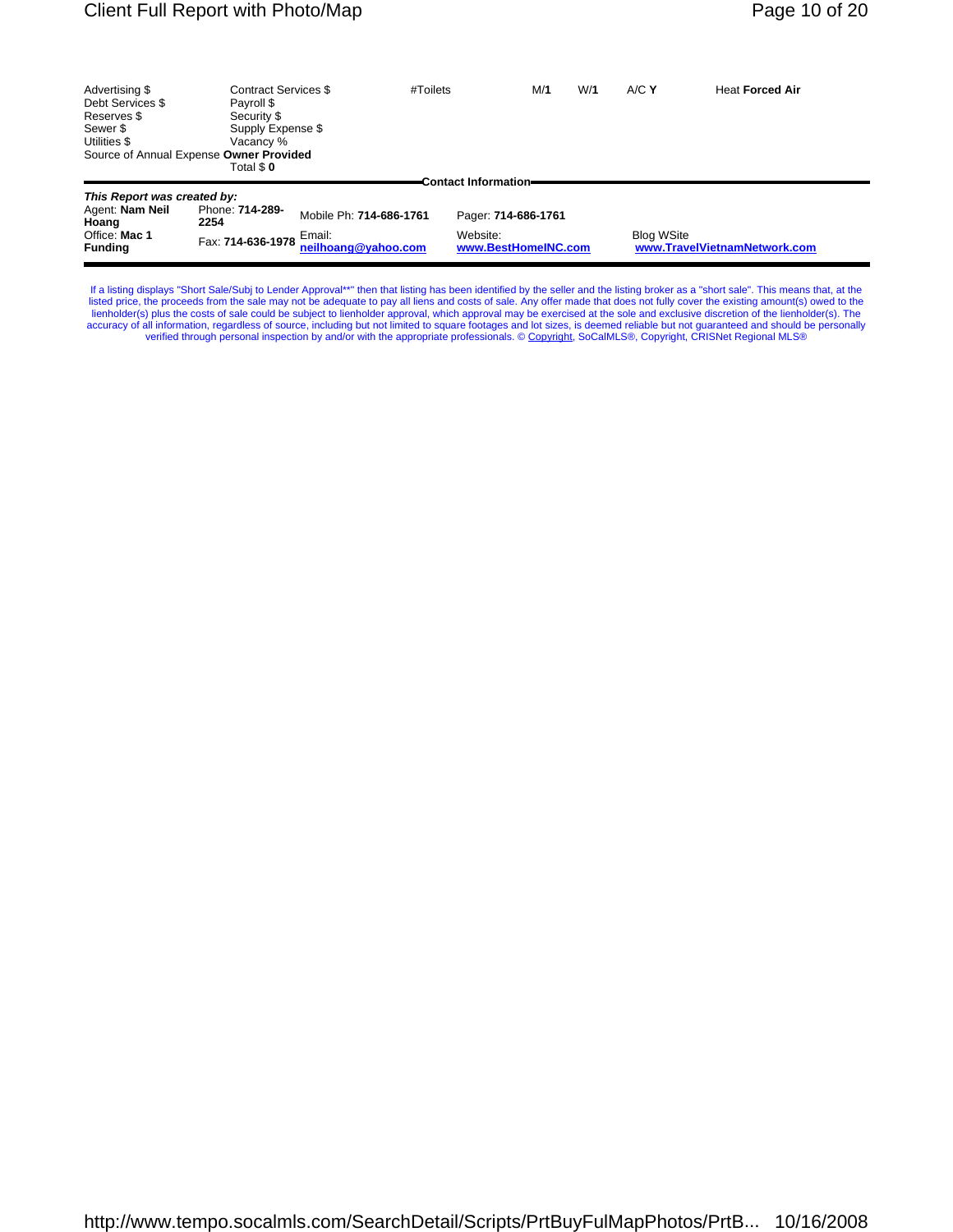| Advertising \$<br>Debt Services \$<br>Reserves \$<br>Sewer \$<br>Utilities \$<br>Source of Annual Expense Owner Provided | <b>Contract Services \$</b><br>Payroll \$<br>Security \$<br>Supply Expense \$<br>Vacancy %<br>Total \$0 |                                                          | #Toilets<br><b>Contact Information</b>                 | M/1 | W/1 | $A/C$ Y           | <b>Heat Forced Air</b>       |
|--------------------------------------------------------------------------------------------------------------------------|---------------------------------------------------------------------------------------------------------|----------------------------------------------------------|--------------------------------------------------------|-----|-----|-------------------|------------------------------|
|                                                                                                                          |                                                                                                         |                                                          |                                                        |     |     |                   |                              |
| This Report was created by:<br>Agent: Nam Neil<br>Hoang<br>Office: Mac 1<br><b>Funding</b>                               | Phone: 714-289-<br>2254<br>Fax: 714-636-1978                                                            | Mobile Ph: 714-686-1761<br>Email:<br>neilhoang@yahoo.com | Pager: 714-686-1761<br>Website:<br>www.BestHomeINC.com |     |     | <b>Blog WSite</b> | www.TravelVietnamNetwork.com |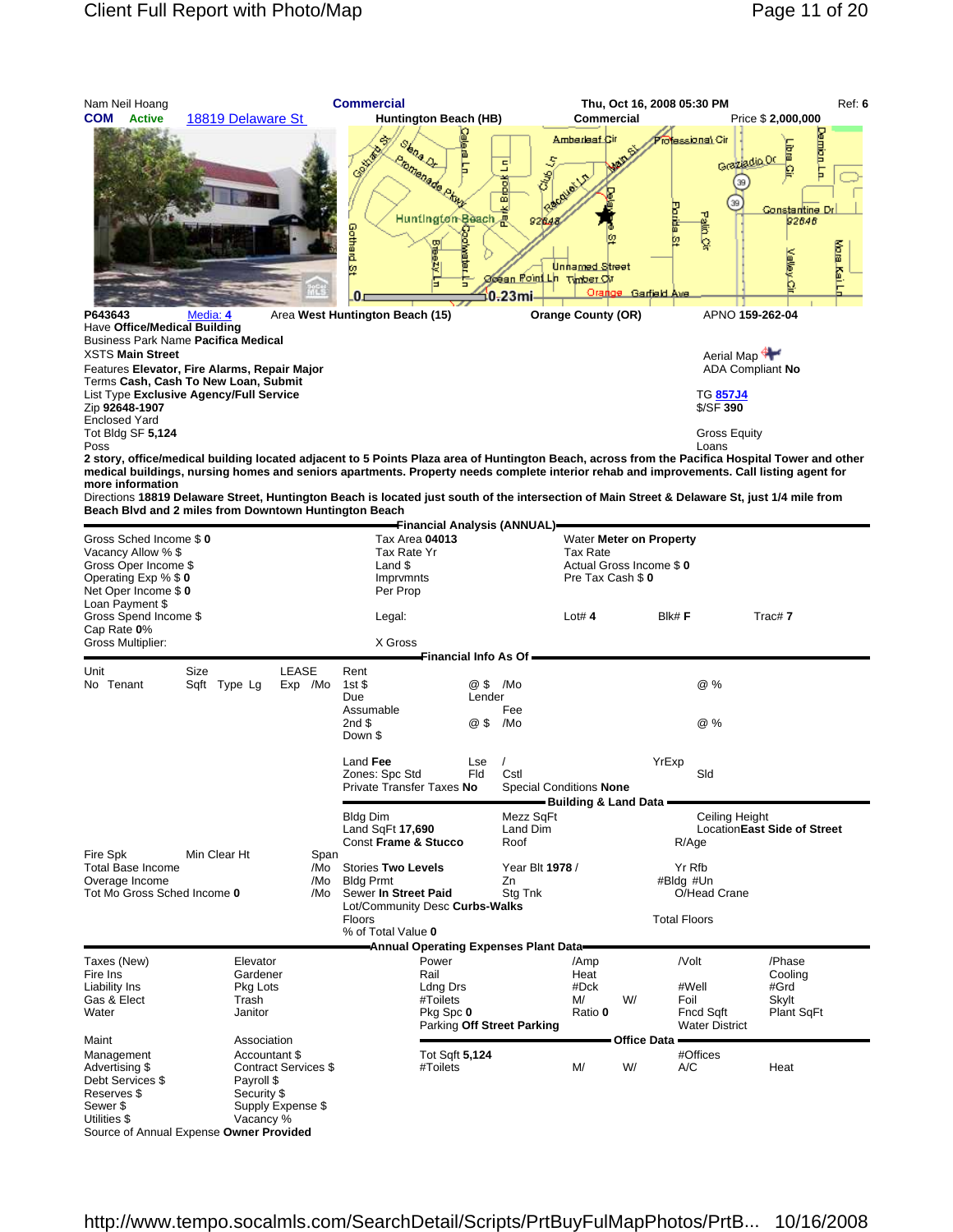

**2 story, office/medical building located adjacent to 5 Points Plaza area of Huntington Beach, across from the Pacifica Hospital Tower and other medical buildings, nursing homes and seniors apartments. Property needs complete interior rehab and improvements. Call listing agent for more information**

Directions **18819 Delaware Street, Huntington Beach is located just south of the intersection of Main Street & Delaware St, just 1/4 mile from Beach Blvd and 2 miles from Downtown Huntington Beach**

|                                                                                                                                                                |      |                                |                                                                                                      |                                                                                    |                                                                        |                                                 |                                                                                                                | Financial Analysis (ANNUAL)—                       |              |                        |       |                                           |                              |  |
|----------------------------------------------------------------------------------------------------------------------------------------------------------------|------|--------------------------------|------------------------------------------------------------------------------------------------------|------------------------------------------------------------------------------------|------------------------------------------------------------------------|-------------------------------------------------|----------------------------------------------------------------------------------------------------------------|----------------------------------------------------|--------------|------------------------|-------|-------------------------------------------|------------------------------|--|
| Gross Sched Income \$0<br>Vacancy Allow % \$<br>Gross Oper Income \$<br>Operating Exp % \$0<br>Net Oper Income \$0<br>Loan Payment \$<br>Gross Spend Income \$ |      |                                |                                                                                                      | <b>Tax Area 04013</b><br>Tax Rate Yr<br>Land \$<br>Imprymnts<br>Per Prop<br>Legal: |                                                                        |                                                 | Water Meter on Property<br><b>Tax Rate</b><br>Actual Gross Income \$0<br>Pre Tax Cash \$0<br>Lot# $4$<br>Blk#F |                                                    |              | Trac#7                 |       |                                           |                              |  |
| Cap Rate 0%                                                                                                                                                    |      |                                |                                                                                                      |                                                                                    |                                                                        |                                                 |                                                                                                                |                                                    |              |                        |       |                                           |                              |  |
| <b>Gross Multiplier:</b>                                                                                                                                       |      |                                |                                                                                                      |                                                                                    | X Gross                                                                | <del>- F</del> inancial Info As Of <del>–</del> |                                                                                                                |                                                    |              |                        |       |                                           |                              |  |
| Unit                                                                                                                                                           | Size |                                | LEASE                                                                                                |                                                                                    | Rent                                                                   |                                                 |                                                                                                                |                                                    |              |                        |       |                                           |                              |  |
| No Tenant                                                                                                                                                      |      | Sqft Type Lg                   |                                                                                                      | Exp /Mo                                                                            | 1stS<br>Due                                                            |                                                 | @ \$ /Mo<br>Lender                                                                                             |                                                    |              |                        |       | @%                                        |                              |  |
|                                                                                                                                                                |      |                                |                                                                                                      |                                                                                    | Assumable<br>2nd \$<br>Down \$                                         |                                                 | @\$                                                                                                            | Fee<br>/Mo                                         |              |                        |       | @%                                        |                              |  |
|                                                                                                                                                                |      |                                |                                                                                                      |                                                                                    | Land Fee<br>Zones: Spc Std<br>Private Transfer Taxes No                |                                                 | Lse<br>Fld                                                                                                     | $\prime$<br>Cstl<br><b>Special Conditions None</b> |              |                        | YrExp | Sld                                       |                              |  |
|                                                                                                                                                                |      |                                |                                                                                                      |                                                                                    |                                                                        |                                                 |                                                                                                                | Building & Land Data —                             |              |                        |       |                                           |                              |  |
|                                                                                                                                                                |      |                                |                                                                                                      |                                                                                    | <b>Bldg Dim</b><br>Land SqFt 17,690<br><b>Const Frame &amp; Stucco</b> |                                                 |                                                                                                                | Mezz SqFt<br>Land Dim<br>Roof                      |              |                        |       | <b>Ceiling Height</b><br>R/Age            | Location East Side of Street |  |
| Fire Spk<br>Min Clear Ht<br>Span<br><b>Total Base Income</b><br>Overage Income<br>/Mo<br>Tot Mo Gross Sched Income 0<br>/Mo                                    |      |                                | /Mo Stories Two Levels<br><b>Bldg Prmt</b><br>Sewer In Street Paid<br>Lot/Community Desc Curbs-Walks |                                                                                    |                                                                        | Year Blt 1978 /<br>Zn<br>Stg Tnk                |                                                                                                                |                                                    | #Bldg #Un    | Yr Rfb<br>O/Head Crane |       |                                           |                              |  |
|                                                                                                                                                                |      |                                |                                                                                                      |                                                                                    | Floors<br>% of Total Value 0                                           |                                                 |                                                                                                                | <b>Total Floors</b>                                |              |                        |       |                                           |                              |  |
|                                                                                                                                                                |      |                                |                                                                                                      |                                                                                    |                                                                        |                                                 |                                                                                                                | Annual Operating Expenses Plant Data=              |              |                        |       |                                           |                              |  |
| Taxes (New)                                                                                                                                                    |      | Elevator                       |                                                                                                      |                                                                                    |                                                                        | Power                                           |                                                                                                                |                                                    | /Amp         |                        |       | $N$ olt                                   | /Phase                       |  |
| Fire Ins<br>Liability Ins                                                                                                                                      |      | Gardener<br>Pkg Lots           |                                                                                                      |                                                                                    |                                                                        | Rail                                            |                                                                                                                |                                                    | Heat<br>#Dck |                        |       | #Well                                     | Cooling<br>#Grd              |  |
| Gas & Elect                                                                                                                                                    |      | Trash                          |                                                                                                      |                                                                                    |                                                                        | Ldng Drs<br>#Toilets                            |                                                                                                                |                                                    | M/           | W/                     | Foil  |                                           | Skylt                        |  |
| Water                                                                                                                                                          |      | Janitor                        |                                                                                                      |                                                                                    |                                                                        | Pkg Spc 0                                       |                                                                                                                | Parking Off Street Parking                         | Ratio 0      |                        |       | <b>Fncd Sqft</b><br><b>Water District</b> | Plant SqFt                   |  |
| Maint                                                                                                                                                          |      | Association                    |                                                                                                      |                                                                                    |                                                                        |                                                 |                                                                                                                |                                                    |              | Office Data -          |       |                                           |                              |  |
| Management                                                                                                                                                     |      | Accountant \$                  |                                                                                                      |                                                                                    |                                                                        | <b>Tot Sqft 5,124</b>                           |                                                                                                                |                                                    |              |                        |       | #Offices                                  |                              |  |
| Advertising \$                                                                                                                                                 |      | <b>Contract Services \$</b>    |                                                                                                      |                                                                                    |                                                                        | #Toilets                                        |                                                                                                                |                                                    | M/           | W/                     | A/C   |                                           | Heat                         |  |
| Debt Services \$                                                                                                                                               |      | Payroll \$                     |                                                                                                      |                                                                                    |                                                                        |                                                 |                                                                                                                |                                                    |              |                        |       |                                           |                              |  |
| Reserves \$                                                                                                                                                    |      | Security \$                    |                                                                                                      |                                                                                    |                                                                        |                                                 |                                                                                                                |                                                    |              |                        |       |                                           |                              |  |
| Sewer \$<br>Utilities \$                                                                                                                                       |      | Supply Expense \$<br>Vacancy % |                                                                                                      |                                                                                    |                                                                        |                                                 |                                                                                                                |                                                    |              |                        |       |                                           |                              |  |
| Source of Annual Expense Owner Provided                                                                                                                        |      |                                |                                                                                                      |                                                                                    |                                                                        |                                                 |                                                                                                                |                                                    |              |                        |       |                                           |                              |  |

http://www.tempo.socalmls.com/SearchDetail/Scripts/PrtBuyFulMapPhotos/PrtB... 10/16/2008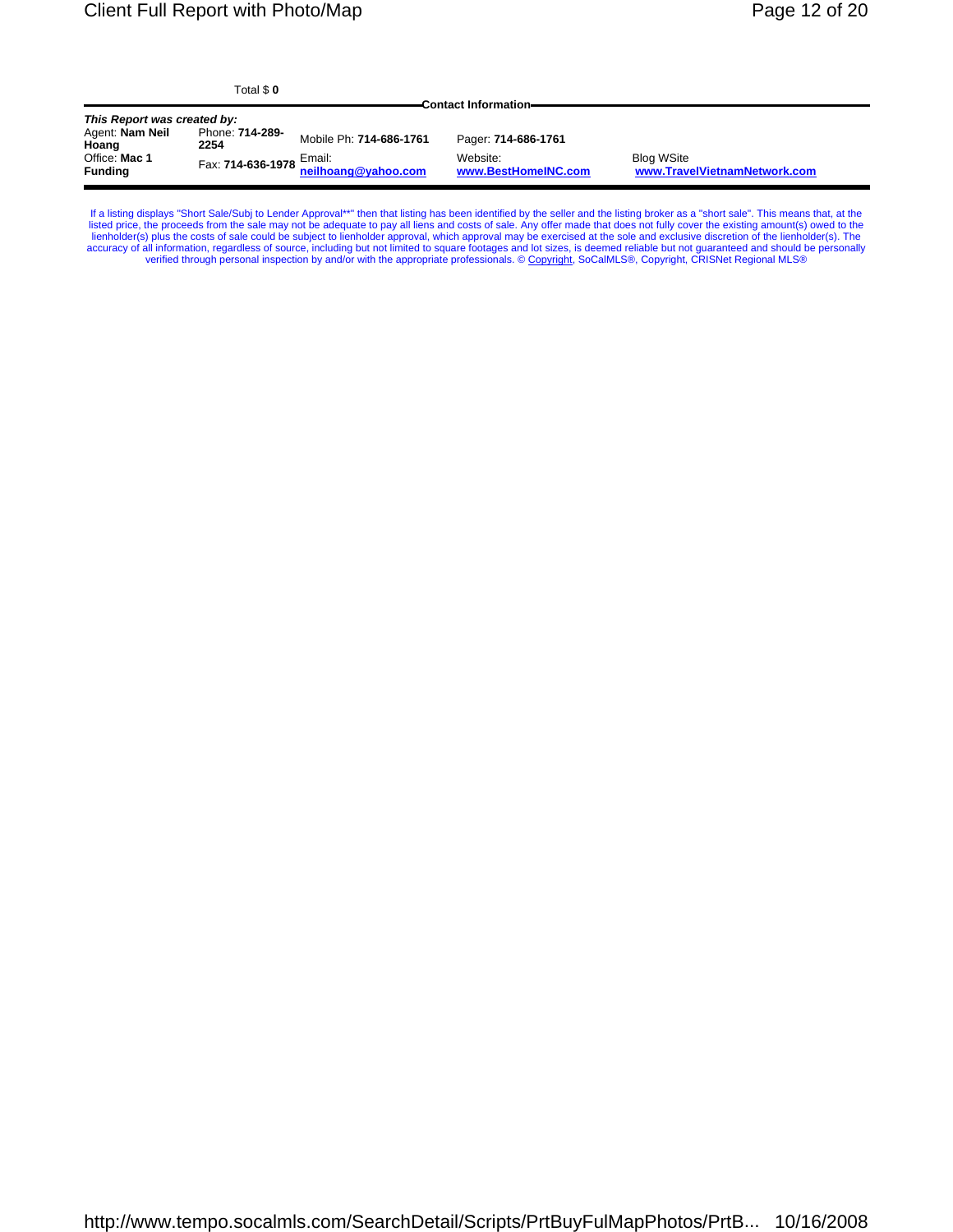| $\,$ otal $\,$ 0 $\,$ |  |
|-----------------------|--|
|                       |  |

|                                 | Total \$0               |                               | <b>Contact Information-</b>     |                                                   |
|---------------------------------|-------------------------|-------------------------------|---------------------------------|---------------------------------------------------|
| This Report was created by:     |                         |                               |                                 |                                                   |
| Agent: Nam Neil<br>Hoang        | Phone: 714-289-<br>2254 | Mobile Ph: 714-686-1761       | Pager: 714-686-1761             |                                                   |
| Office: Mac 1<br><b>Funding</b> | Fax: 714-636-1978       | Email:<br>neilhoang@vahoo.com | Website:<br>www.BestHomeINC.com | <b>Blog WSite</b><br>www.TravelVietnamNetwork.com |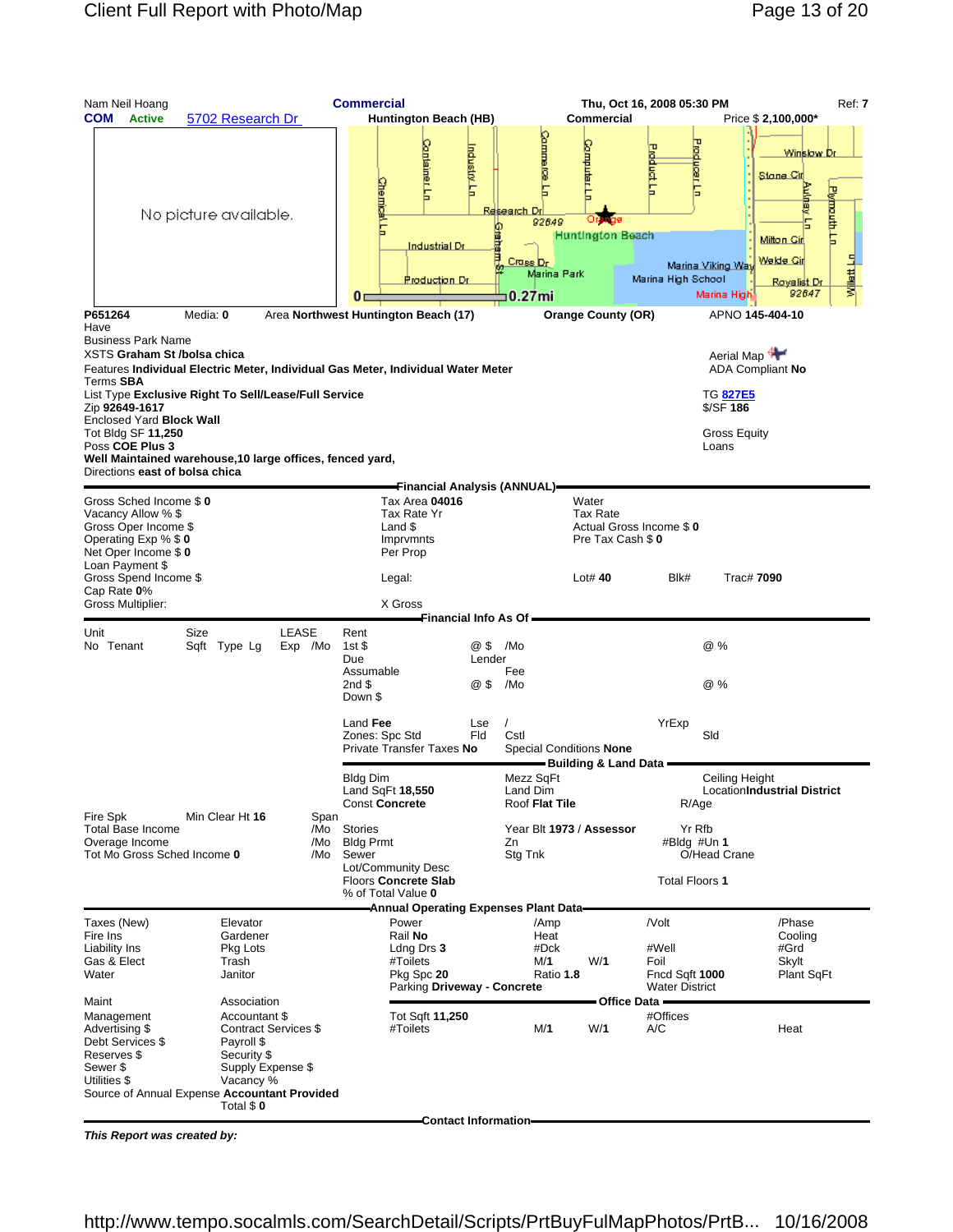| Nam Neil Hoang<br>COM                                                                                | <b>Active</b>                                                                                                           | 5702 Research Dr                                                                                                                                                                        |                           | <b>Commercial</b><br>Huntington Beach (HB)                                                                                                                                                     |                                                                                                       | <b>Commercial</b>                                                                                                            | Thu, Oct 16, 2008 05:30 PM                                        | Price \$ 2,100,000*                                                                                               | Ref: 7                                                                                                                            |
|------------------------------------------------------------------------------------------------------|-------------------------------------------------------------------------------------------------------------------------|-----------------------------------------------------------------------------------------------------------------------------------------------------------------------------------------|---------------------------|------------------------------------------------------------------------------------------------------------------------------------------------------------------------------------------------|-------------------------------------------------------------------------------------------------------|------------------------------------------------------------------------------------------------------------------------------|-------------------------------------------------------------------|-------------------------------------------------------------------------------------------------------------------|-----------------------------------------------------------------------------------------------------------------------------------|
|                                                                                                      |                                                                                                                         | No picture available.                                                                                                                                                                   |                           | Container Lo<br><u>Chemical.</u><br><u>Industrial Dr.</u><br><u> Producțion Dr.</u><br>0 E                                                                                                     | <b>Lidustry Ln</b><br>Research Dr<br>Ф<br>E<br>Crass Dr                                               | ணணமு<br>Computer LD<br>92649<br><b>Huntington Beach</b><br>Marina Park<br>0.27 <sub>mi</sub>                                 | Producer Ln<br><b>Bduct</b><br>Ë<br>Marina High School            | Marina Viking Way<br>Marina High                                                                                  | <u>Winslow Dr</u><br>Stone Cir<br><u>Aulgey Ln</u><br>Pwmouth Lo<br>Milton Gir<br>Willett Lo<br>Welde Gir<br>Royalist Dr<br>92647 |
| P651264<br>Have<br>Terms <b>SBA</b><br>Zip 92649-1617<br>Tot Bldg SF 11,250<br>Poss COE Plus 3       | <b>Business Park Name</b><br>XSTS Graham St /bolsa chica<br>Enclosed Yard Block Wall<br>Directions east of bolsa chica  | Media: 0<br>List Type Exclusive Right To Sell/Lease/Full Service<br>Well Maintained warehouse, 10 large offices, fenced yard,                                                           |                           | Area Northwest Huntington Beach (17)<br>Features Individual Electric Meter, Individual Gas Meter, Individual Water Meter                                                                       |                                                                                                       | <b>Orange County (OR)</b>                                                                                                    |                                                                   | APNO 145-404-10<br>Aerial Map<br><b>ADA Compliant No</b><br>TG 827E5<br>\$/SF 186<br><b>Gross Equity</b><br>Loans |                                                                                                                                   |
| Vacancy Allow % \$<br>Loan Payment \$<br>Cap Rate 0%<br>Gross Multiplier:                            | Gross Sched Income \$ 0<br>Gross Oper Income \$<br>Operating Exp % \$ 0<br>Net Oper Income \$0<br>Gross Spend Income \$ |                                                                                                                                                                                         |                           | Financial Analysis (ANNUAL)=<br><b>Tax Area 04016</b><br>Tax Rate Yr<br>Land \$<br>Imprvmnts<br>Per Prop<br>Legal:<br>X Gross                                                                  |                                                                                                       | Water<br><b>Tax Rate</b><br>Lot# $40$                                                                                        | Actual Gross Income \$ 0<br>Pre Tax Cash \$0<br>Blk#              | Trac# 7090                                                                                                        |                                                                                                                                   |
| Unit<br>No Tenant                                                                                    |                                                                                                                         | Size<br>Sqft Type Lg                                                                                                                                                                    | LEASE<br>Exp /Mo          | Rent<br>1st $$$<br>Due<br>Assumable<br>2nd \$<br>Down \$<br>Land Fee<br>Zones: Spc Std                                                                                                         | Financial Info As Of -<br>@\$<br>/Mo<br>Lender<br>Fee<br>@\$<br>/Mo<br>Lse<br>$\prime$<br>Fld<br>Cstl |                                                                                                                              | YrExp                                                             | @%<br>@%<br>Sld                                                                                                   |                                                                                                                                   |
| Fire Spk<br><b>Total Base Income</b><br>Overage Income                                               | Tot Mo Gross Sched Income 0                                                                                             | Min Clear Ht 16                                                                                                                                                                         | Span<br>/Mo<br>/Mo<br>/Mo | Private Transfer Taxes No<br><b>Bldg Dim</b><br>Land SqFt 18,550<br>Const Concrete<br>Stories<br><b>Bldg Prmt</b><br>Sewer<br>Lot/Community Desc<br>Floors Concrete Slab<br>% of Total Value 0 | Land Dim<br>Zn<br>Stg Tnk                                                                             | <b>Special Conditions None</b><br><b>Building &amp; Land Data</b><br>Mezz SqFt<br>Roof Flat Tile<br>Year Blt 1973 / Assessor | R/Age<br>#Bldg #Un 1<br><b>Total Floors 1</b>                     | Ceiling Height<br>Yr Rfb<br>O/Head Crane                                                                          | LocationIndustrial District                                                                                                       |
| Taxes (New)<br>Fire Ins<br>Liability Ins<br>Gas & Elect<br>Water                                     |                                                                                                                         | Elevator<br>Gardener<br>Pkg Lots<br>Trash<br>Janitor                                                                                                                                    |                           | Annual Operating Expenses Plant Data=<br>Power<br>Rail No<br>Ldng Drs 3<br>#Toilets<br>Pkg Spc 20<br>Parking Driveway - Concrete                                                               |                                                                                                       | /Amp<br>Heat<br>#Dck<br>M/1<br>W/1<br>Ratio 1.8                                                                              | /Volt<br>#Well<br>Foil<br>Fncd Sqft 1000<br><b>Water District</b> |                                                                                                                   | /Phase<br>Cooling<br>#Grd<br>Skylt<br>Plant SqFt                                                                                  |
| Maint<br>Management<br>Advertisina \$<br>Debt Services \$<br>Reserves \$<br>Sewer \$<br>Utilities \$ |                                                                                                                         | Association<br>Accountant \$<br><b>Contract Services \$</b><br>Payroll \$<br>Security \$<br>Supply Expense \$<br>Vacancy %<br>Source of Annual Expense Accountant Provided<br>Total \$0 |                           | Tot Sqft 11,250<br>#Toilets                                                                                                                                                                    | Contact Information=                                                                                  | M/1<br>W/1                                                                                                                   | Office Data -<br>#Offices<br>A/C                                  |                                                                                                                   | Heat                                                                                                                              |

*This Report was created by:*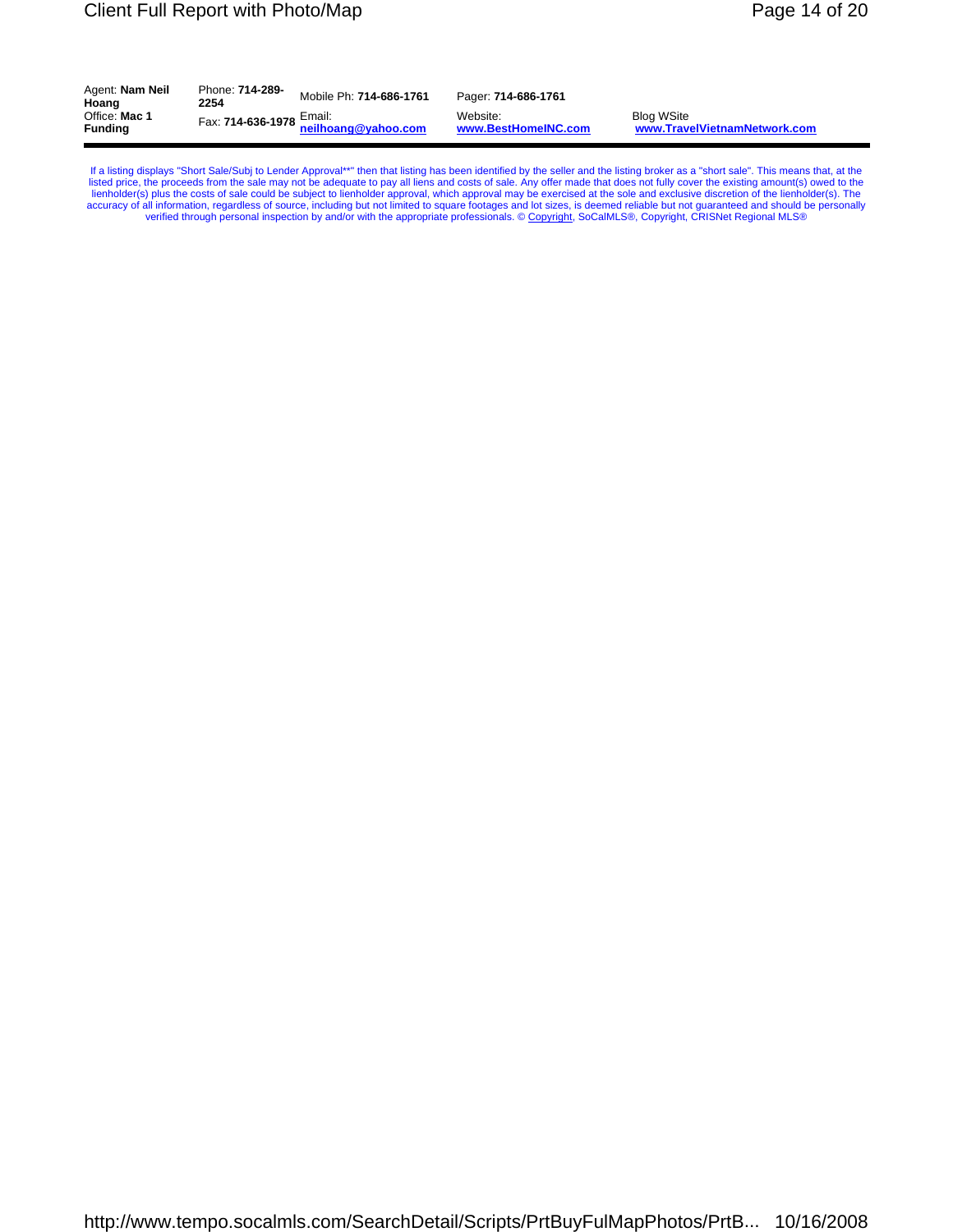| Agent: <b>Nam Neil</b><br>Hoang | Phone: 714-289-<br>2254 | Mobile Ph: 714-686-1761                                                                         | Pager: 714-686-1761             |                                                   |
|---------------------------------|-------------------------|-------------------------------------------------------------------------------------------------|---------------------------------|---------------------------------------------------|
| Office: Mac 1<br>Funding        |                         | - Fax: <b>714-636-1978</b> Email:<br>- ۳۰۰۰ Eax: <b>714-636-1978</b> <u>neilhoang@yahoo.com</u> | Website:<br>www.BestHomeINC.com | <b>Blog WSite</b><br>www.TravelVietnamNetwork.com |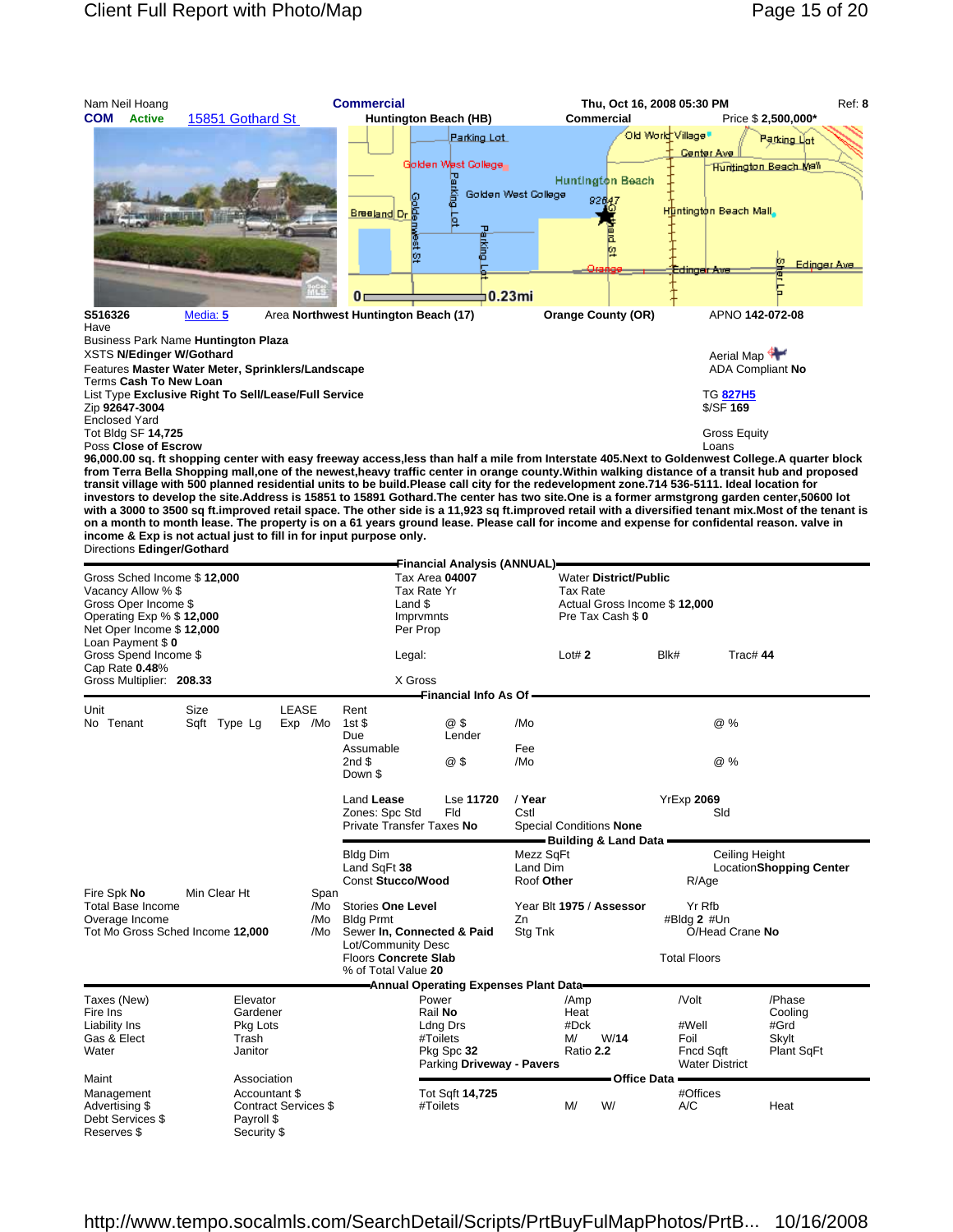

| Gross Scried Income \$ 12,000<br>Vacancy Allow % \$<br>Gross Oper Income \$<br>Operating Exp % \$12,000<br>Net Oper Income \$12,000<br>Loan Payment \$0 |              |                                                                           |         |                           | Tax Area <b>04007</b><br>Tax Rate Yr<br>Land \$<br>Imprymnts<br>Per Prop                                                                        |                                                                                     |                                                 | <i>vvater District/Public</i><br><b>Tax Rate</b><br>Actual Gross Income \$12,000<br>Pre Tax Cash \$ 0 |                                                                               |                                                  |  |
|---------------------------------------------------------------------------------------------------------------------------------------------------------|--------------|---------------------------------------------------------------------------|---------|---------------------------|-------------------------------------------------------------------------------------------------------------------------------------------------|-------------------------------------------------------------------------------------|-------------------------------------------------|-------------------------------------------------------------------------------------------------------|-------------------------------------------------------------------------------|--------------------------------------------------|--|
| Gross Spend Income \$<br>Cap Rate 0.48%                                                                                                                 |              |                                                                           |         |                           | Legal:                                                                                                                                          |                                                                                     | Lot# $2$                                        |                                                                                                       | Blk#                                                                          | <b>Trac#44</b>                                   |  |
| Gross Multiplier: 208.33                                                                                                                                |              |                                                                           |         |                           | X Gross                                                                                                                                         |                                                                                     |                                                 |                                                                                                       |                                                                               |                                                  |  |
|                                                                                                                                                         |              |                                                                           |         |                           |                                                                                                                                                 | <del>– F</del> inancial Info As Of <del>–</del>                                     |                                                 |                                                                                                       |                                                                               |                                                  |  |
| Unit                                                                                                                                                    | Size         |                                                                           | LEASE   |                           | Rent                                                                                                                                            |                                                                                     |                                                 |                                                                                                       |                                                                               |                                                  |  |
| No Tenant                                                                                                                                               | Sqft Type Lg |                                                                           | Exp /Mo |                           | 1st $$$<br>Due                                                                                                                                  | @\$<br>Lender                                                                       | /Mo                                             |                                                                                                       |                                                                               | @%                                               |  |
|                                                                                                                                                         |              |                                                                           |         |                           | Assumable<br>2nd \$<br>Down \$                                                                                                                  | @\$                                                                                 | Fee<br>/Mo                                      |                                                                                                       |                                                                               | @%                                               |  |
|                                                                                                                                                         |              |                                                                           |         |                           | Land Lease<br>Zones: Spc Std<br>Private Transfer Taxes No                                                                                       | Lse 11720<br>Fld                                                                    | /Year<br>Cstl<br><b>Special Conditions None</b> | Building & Land Data =                                                                                | <b>YrExp 2069</b><br>Sld                                                      |                                                  |  |
|                                                                                                                                                         |              |                                                                           |         |                           | <b>Bldg Dim</b><br>Land SqFt 38<br><b>Const Stucco/Wood</b>                                                                                     |                                                                                     | Mezz SqFt<br>Land Dim<br>Roof Other             |                                                                                                       | $R/Aq$ e                                                                      | Ceiling Height<br>LocationShopping Center        |  |
| Fire Spk No<br><b>Total Base Income</b><br>Overage Income<br>Tot Mo Gross Sched Income 12,000                                                           | Min Clear Ht |                                                                           |         | Span<br>/Mo<br>/Mo<br>/Mo | <b>Stories One Level</b><br><b>Bldg Prmt</b><br>Sewer In, Connected & Paid<br>Lot/Community Desc<br>Floors Concrete Slab<br>% of Total Value 20 |                                                                                     | Year Blt 1975 / Assessor<br>Zn<br>Stg Tnk       |                                                                                                       | Yr Rfb<br>#Bldg 2 #Un<br><b>Total Floors</b>                                  | O/Head Crane No                                  |  |
|                                                                                                                                                         |              |                                                                           |         |                           |                                                                                                                                                 |                                                                                     | Annual Operating Expenses Plant Data-           |                                                                                                       |                                                                               |                                                  |  |
| Taxes (New)<br>Fire Ins<br>Liability Ins<br>Gas & Elect<br>Water<br>Maint                                                                               |              | Elevator<br>Gardener<br>Pkg Lots<br>Trash<br>Janitor<br>Association       |         |                           |                                                                                                                                                 | Power<br>Rail No<br>Ldng Drs<br>#Toilets<br>Pkg Spc 32<br>Parking Driveway - Pavers | /Amp<br>Heat<br>#Dck<br>M/                      | W/14<br>Ratio 2.2                                                                                     | /Volt<br>#Well<br>Foil<br>Fncd Sqft<br><b>Water District</b><br>Office Data = | /Phase<br>Cooling<br>#Grd<br>Skylt<br>Plant SqFt |  |
| Management<br>Advertising \$<br>Debt Services \$<br>Reserves \$                                                                                         |              | Accountant \$<br><b>Contract Services \$</b><br>Payroll \$<br>Security \$ |         |                           |                                                                                                                                                 | Tot Sqft 14,725<br>#Toilets                                                         | M/                                              | W/                                                                                                    | #Offices<br>A/C                                                               | Heat                                             |  |

http://www.tempo.socalmls.com/SearchDetail/Scripts/PrtBuyFulMapPhotos/PrtB... 10/16/2008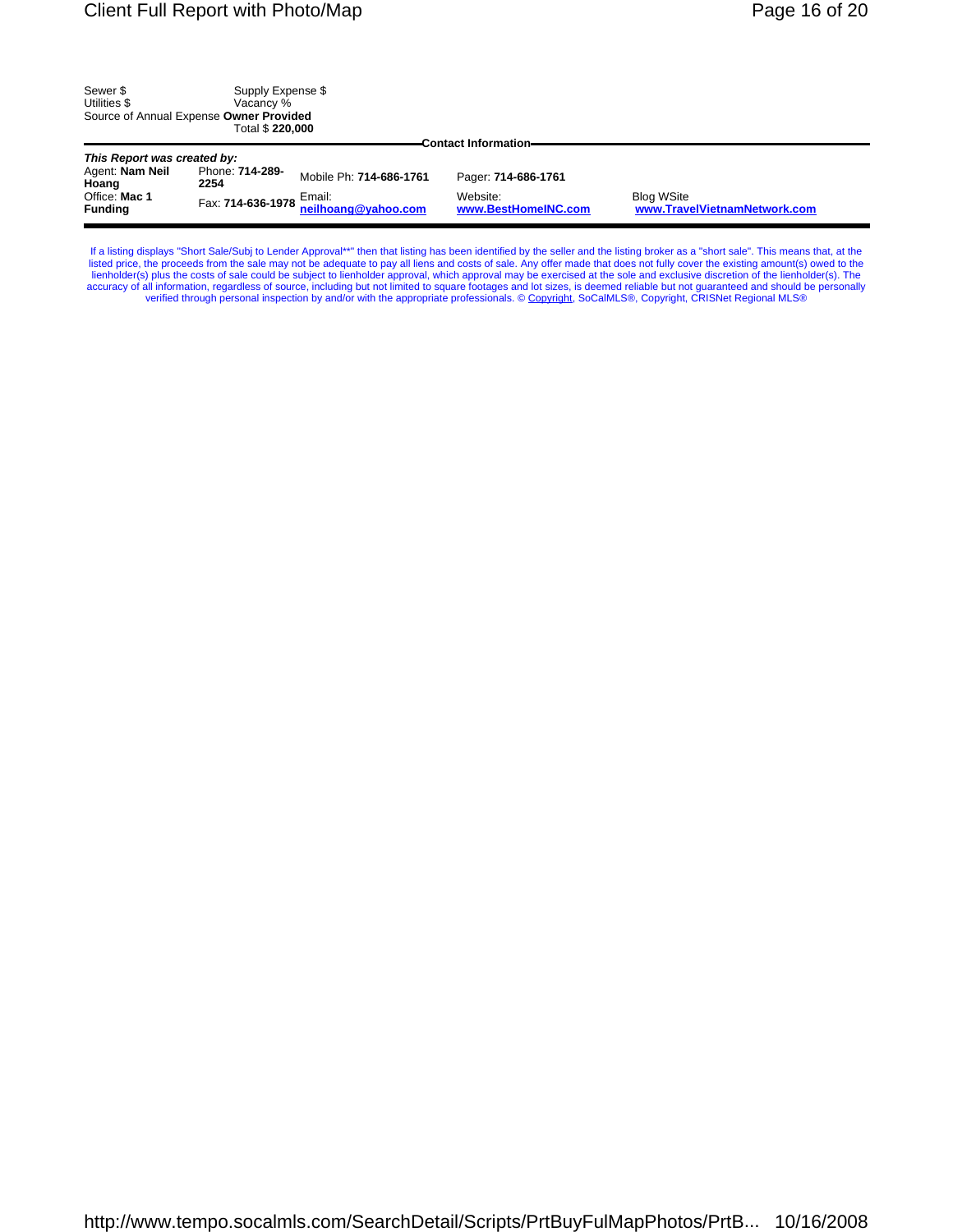| Sewer \$     | Supply Expense \$                       |
|--------------|-----------------------------------------|
| Utilities \$ | Vacancy %                               |
|              | Source of Annual Expense Owner Provided |
|              | Total \$ 220,000                        |

|                                 | $1$ VIII V LLVIVIV      |                                                        |                                 |                                                   |  |  |  |  |  |  |
|---------------------------------|-------------------------|--------------------------------------------------------|---------------------------------|---------------------------------------------------|--|--|--|--|--|--|
| <b>Contact Information-</b>     |                         |                                                        |                                 |                                                   |  |  |  |  |  |  |
|                                 |                         |                                                        |                                 |                                                   |  |  |  |  |  |  |
| This Report was created by:     |                         |                                                        |                                 |                                                   |  |  |  |  |  |  |
| Agent: Nam Neil<br>Hoang        | Phone: 714-289-<br>2254 | Mobile Ph: 714-686-1761                                | Pager: 714-686-1761             |                                                   |  |  |  |  |  |  |
| Office: Mac 1<br><b>Funding</b> |                         | Fax: 714-636-1978 Email:<br><u>neilhoang@yahoo.com</u> | Website:<br>www.BestHomeINC.com | <b>Blog WSite</b><br>www.TravelVietnamNetwork.com |  |  |  |  |  |  |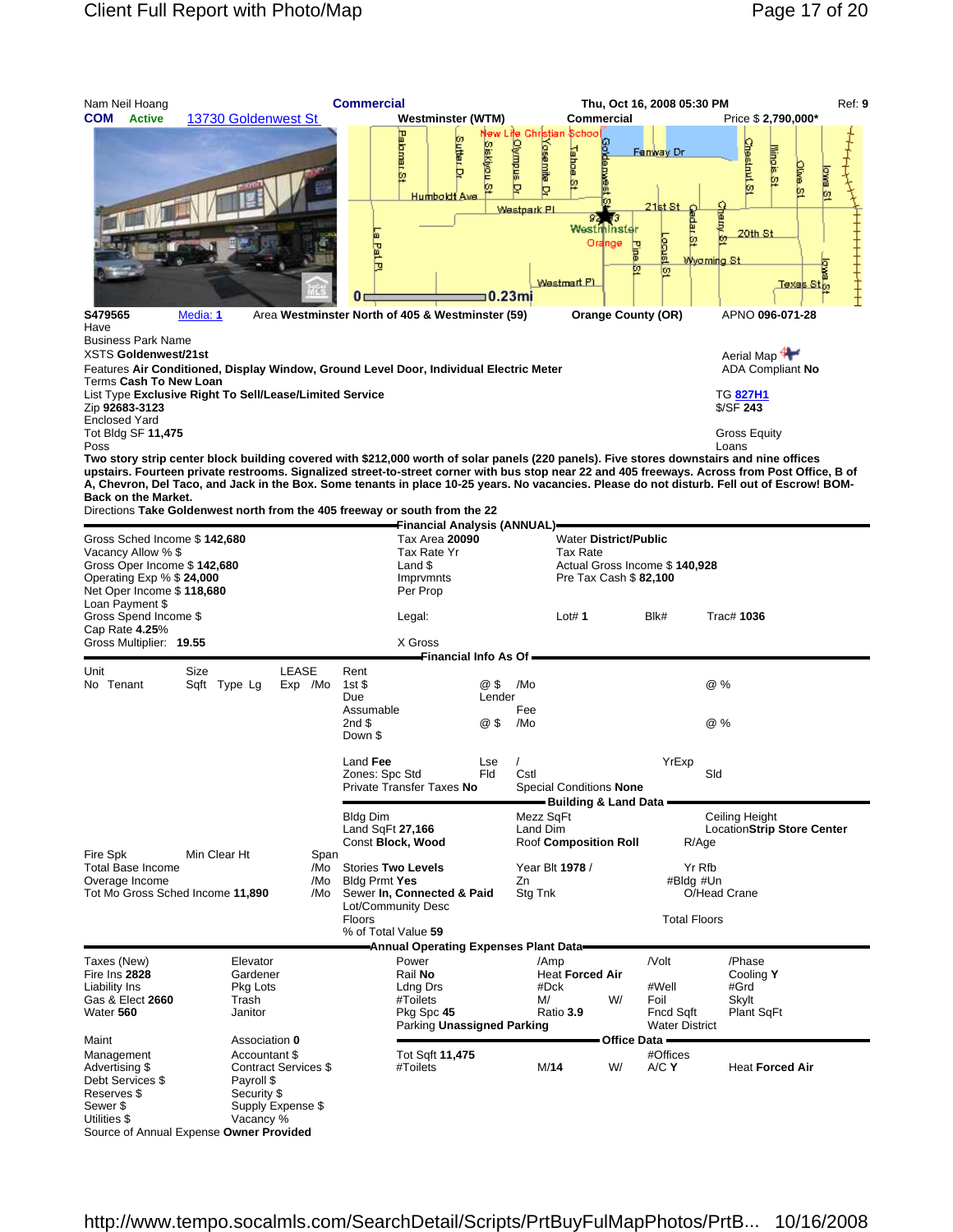

Contract Services \$ #Toilets M/14 W/ A/C **Y** Heat **Forced Air**<br>Payroll \$

Management Accountant \$ Tot Sqft **11,475** #Offices

Debt Services \$

Reserves \$ Security \$ Sewer \$ Supply Expense \$ Utilities \$ Vacancy % Source of Annual Expense **Owner Provided**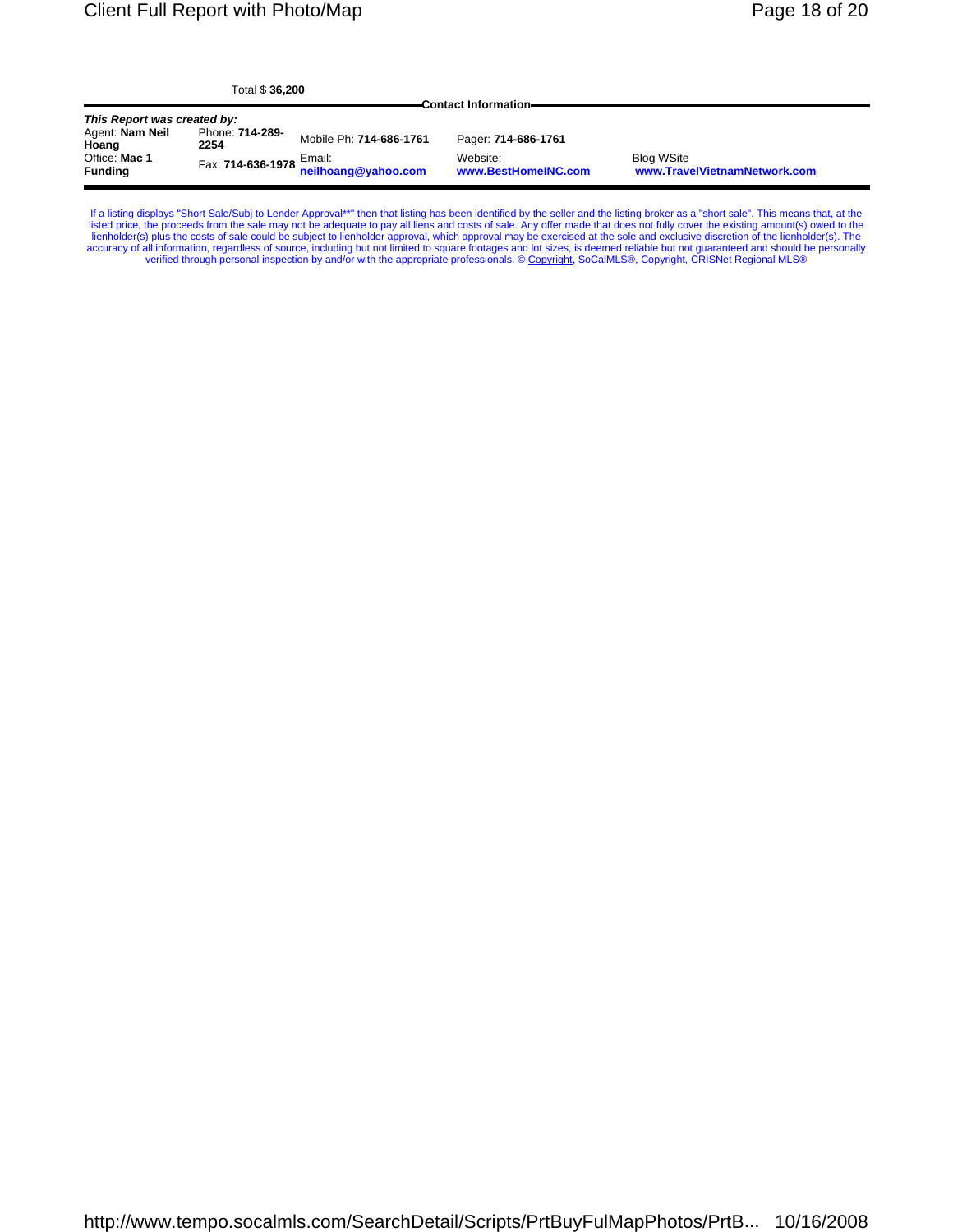Total \$ **36,200**

|                                 | יש⊿. טע וואטו           |                                                                              |                                 |                                                   |  |  |  |  |  |
|---------------------------------|-------------------------|------------------------------------------------------------------------------|---------------------------------|---------------------------------------------------|--|--|--|--|--|
| <b>Contact Information=</b>     |                         |                                                                              |                                 |                                                   |  |  |  |  |  |
|                                 |                         |                                                                              |                                 |                                                   |  |  |  |  |  |
| This Report was created by:     |                         |                                                                              |                                 |                                                   |  |  |  |  |  |
| Agent: Nam Neil<br>Hoang        | Phone: 714-289-<br>2254 | Mobile Ph: 714-686-1761                                                      | Pager: 714-686-1761             |                                                   |  |  |  |  |  |
| Office: Mac 1<br><b>Funding</b> |                         | Fax: <b>714-636-1978</b> Elligin.<br><mark>ne<u>ilhoang@yahoo.com</u></mark> | Website:<br>www.BestHomeINC.com | <b>Blog WSite</b><br>www.TravelVietnamNetwork.com |  |  |  |  |  |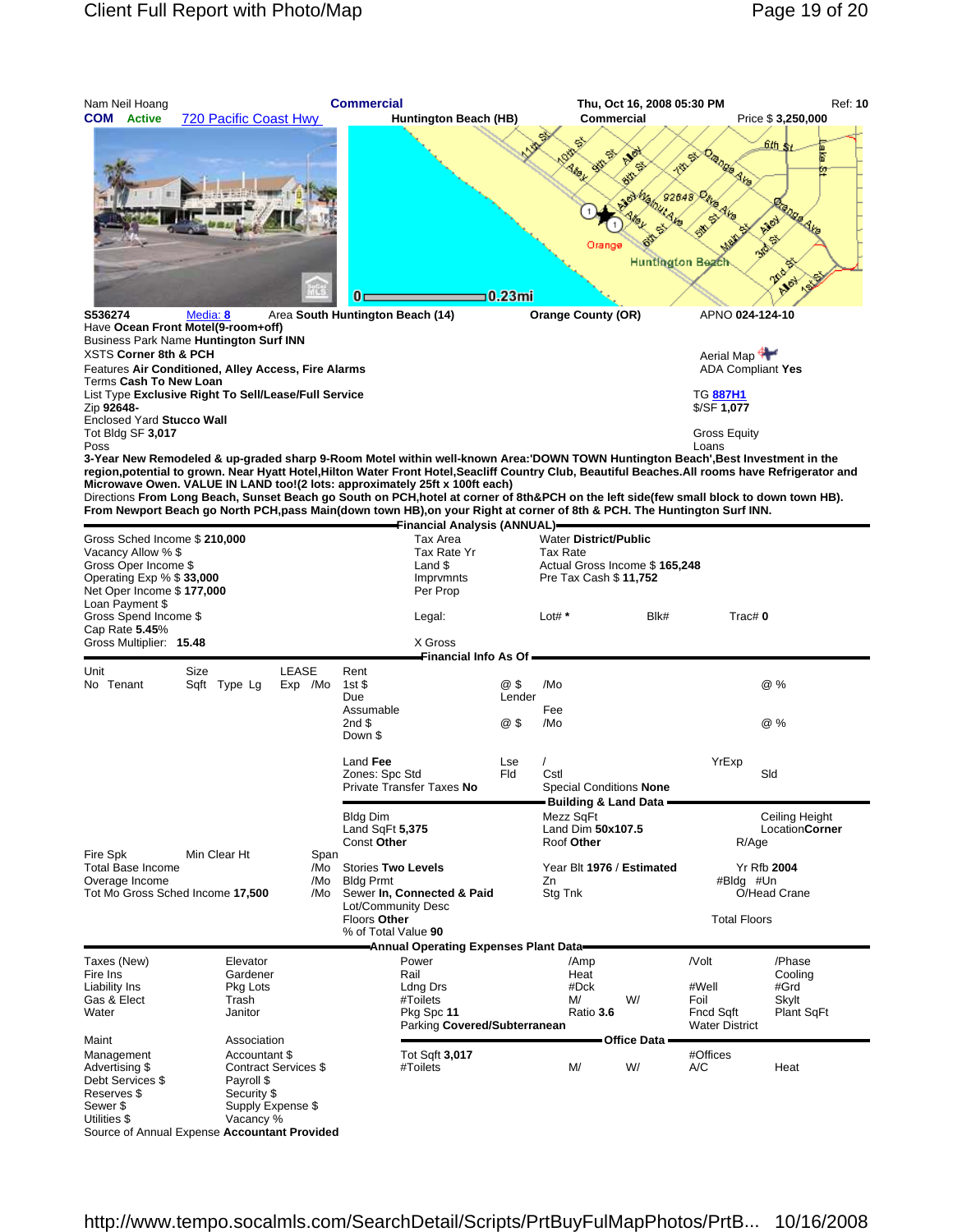

**3-Year New Remodeled & up-graded sharp 9-Room Motel within well-known Area:'DOWN TOWN Huntington Beach',Best Investment in the region,potential to grown. Near Hyatt Hotel,Hilton Water Front Hotel,Seacliff Country Club, Beautiful Beaches.All rooms have Refrigerator and Microwave Owen. VALUE IN LAND too!(2 lots: approximately 25ft x 100ft each)**

Directions **From Long Beach, Sunset Beach go South on PCH,hotel at corner of 8th&PCH on the left side(few small block to down town HB). From Newport Beach go North PCH,pass Main(down town HB),on your Right at corner of 8th & PCH. The Huntington Surf INN.**

|                                                                                                                                                        |      |                                                            |       |                           |                                                   | Financial Analysis (ANNUAL)————                                |                   |                                                                                                            |               |                                                 |                                   |
|--------------------------------------------------------------------------------------------------------------------------------------------------------|------|------------------------------------------------------------|-------|---------------------------|---------------------------------------------------|----------------------------------------------------------------|-------------------|------------------------------------------------------------------------------------------------------------|---------------|-------------------------------------------------|-----------------------------------|
| Gross Sched Income \$210,000<br>Vacancy Allow % \$<br>Gross Oper Income \$<br>Operating Exp % \$33,000<br>Net Oper Income \$177,000<br>Loan Payment \$ |      |                                                            |       |                           |                                                   | Tax Area<br>Tax Rate Yr<br>$Land$ $$$<br>Imprymnts<br>Per Prop |                   | <b>Water District/Public</b><br><b>Tax Rate</b><br>Actual Gross Income \$165,248<br>Pre Tax Cash \$ 11,752 |               |                                                 |                                   |
| Gross Spend Income \$<br>Cap Rate 5.45%                                                                                                                |      |                                                            |       |                           |                                                   | Legal:                                                         |                   | Lot# $*$                                                                                                   | Blk#          | Trac# $0$                                       |                                   |
| Gross Multiplier: 15.48                                                                                                                                |      |                                                            |       |                           |                                                   | X Gross                                                        |                   |                                                                                                            |               |                                                 |                                   |
|                                                                                                                                                        |      |                                                            |       |                           |                                                   | <del>F</del> inancial Info As Of <del>–</del>                  |                   |                                                                                                            |               |                                                 |                                   |
| Unit<br>No Tenant                                                                                                                                      | Size | Sqft Type Lg                                               | LEASE | Exp /Mo                   | Rent<br>$1st\$<br>Due                             |                                                                | @ \$<br>Lender    | /Mo                                                                                                        |               |                                                 | @%                                |
|                                                                                                                                                        |      |                                                            |       |                           | Assumable<br>2nd \$<br>Down \$                    |                                                                | @ \$              | Fee<br>/Mo                                                                                                 |               | @%                                              |                                   |
|                                                                                                                                                        |      |                                                            |       |                           | Land Fee<br>Zones: Spc Std                        | Private Transfer Taxes No                                      | Lse<br><b>Fld</b> | Cstl<br>Special Conditions None<br>- Building & Land Data                                                  |               | YrExp                                           | Sld                               |
|                                                                                                                                                        |      |                                                            |       |                           | <b>Bldg Dim</b><br>Land SqFt 5,375<br>Const Other |                                                                |                   | Mezz SqFt<br>Land Dim 50x107.5<br>Roof Other                                                               |               | R/Age                                           | Ceiling Height<br>Location Corner |
| Fire Spk<br><b>Total Base Income</b><br>Overage Income<br>Tot Mo Gross Sched Income 17,500                                                             |      | Min Clear Ht                                               |       | Span<br>/Mo<br>/Mo<br>/Mo | <b>Bldg Prmt</b>                                  | <b>Stories Two Levels</b><br>Sewer In, Connected & Paid        |                   | Year Blt 1976 / Estimated<br>Zn<br>Stg Tnk                                                                 |               | <b>Yr Rfb 2004</b><br>#Bldg #Un<br>O/Head Crane |                                   |
|                                                                                                                                                        |      |                                                            |       |                           | Floors Other                                      | Lot/Community Desc<br>% of Total Value 90                      |                   |                                                                                                            |               | <b>Total Floors</b>                             |                                   |
|                                                                                                                                                        |      |                                                            |       |                           |                                                   | Annual Operating Expenses Plant Data-                          |                   |                                                                                                            |               |                                                 |                                   |
| Taxes (New)<br>Fire Ins                                                                                                                                |      | Elevator<br>Gardener                                       |       |                           |                                                   | Power<br>Rail                                                  |                   | /Amp<br>Heat                                                                                               |               | /Volt                                           | /Phase<br>Cooling                 |
| Liability Ins<br>Gas & Elect                                                                                                                           |      | Pkg Lots<br>Trash                                          |       |                           |                                                   | Ldng Drs<br>#Toilets                                           |                   | #Dck<br>M/                                                                                                 | W/            | #Well<br>Foil                                   | #Grd<br>Skylt                     |
| Water                                                                                                                                                  |      | Janitor                                                    |       |                           |                                                   | Pkg Spc 11<br>Parking Covered/Subterranean                     |                   | Ratio 3.6                                                                                                  |               | Fncd Sqft<br><b>Water District</b>              | Plant SqFt                        |
| Maint                                                                                                                                                  |      | Association                                                |       |                           |                                                   |                                                                |                   |                                                                                                            | Office Data - |                                                 |                                   |
| Management<br>Advertising \$<br>Debt Services \$                                                                                                       |      | Accountant \$<br><b>Contract Services \$</b><br>Payroll \$ |       |                           |                                                   | Tot Sqft 3,017<br>#Toilets                                     |                   | M/                                                                                                         | W/            | #Offices<br>A/C                                 | Heat                              |
| Reserves \$<br>Sewer \$<br>Utilities \$                                                                                                                |      | Security \$<br>Supply Expense \$<br>Vacancy %              |       |                           |                                                   |                                                                |                   |                                                                                                            |               |                                                 |                                   |
| Source of Annual Expense Accountant Provided                                                                                                           |      |                                                            |       |                           |                                                   |                                                                |                   |                                                                                                            |               |                                                 |                                   |